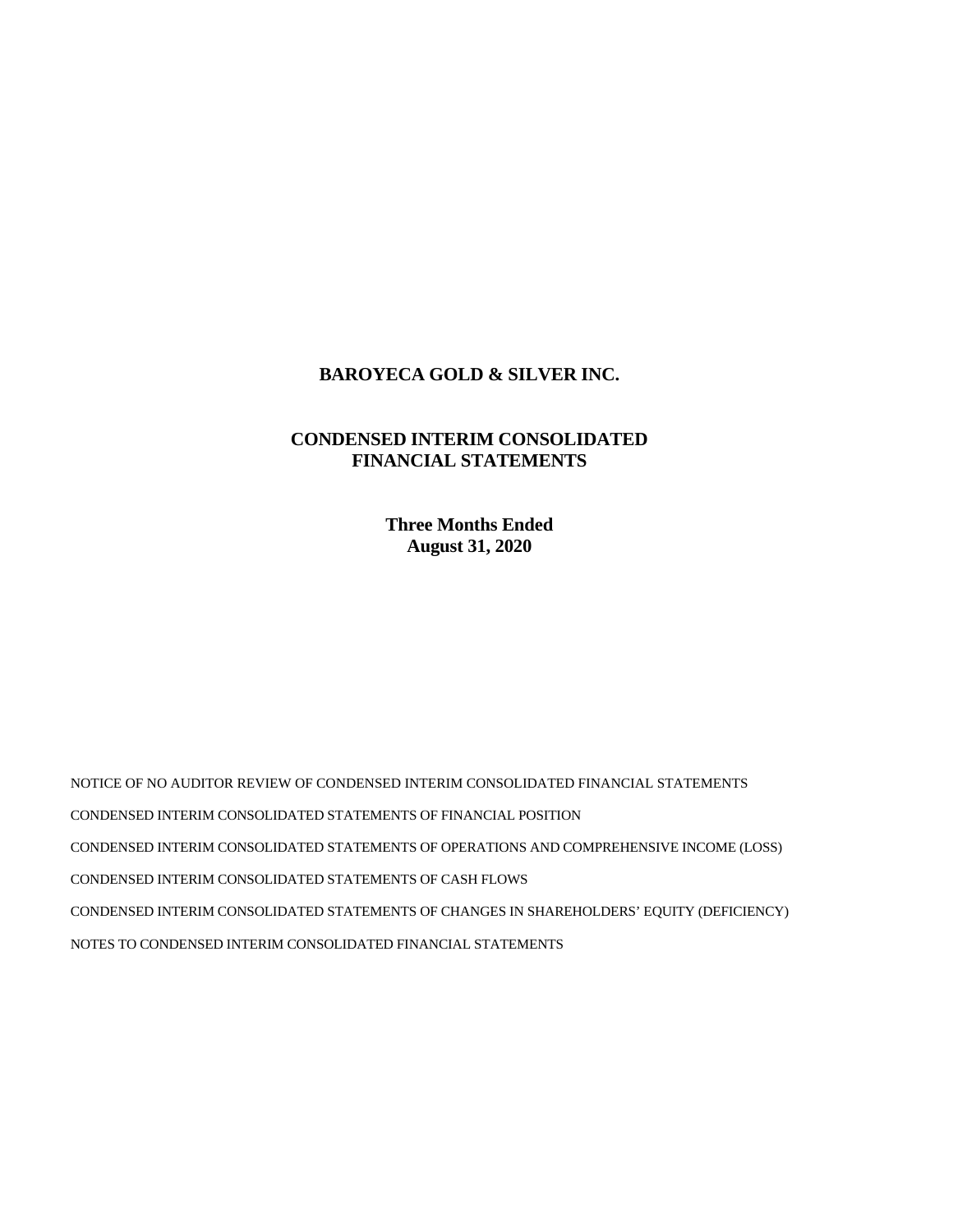# **BAROYECA GOLD & SILVER INC.**

# **CONDENSED INTERIM CONSOLIDATED FINANCIAL STATEMENTS**

**Three Months Ended August 31, 2020** 

NOTICE OF NO AUDITOR REVIEW OF CONDENSED INTERIM CONSOLIDATED FINANCIAL STATEMENTS CONDENSED INTERIM CONSOLIDATED STATEMENTS OF FINANCIAL POSITION CONDENSED INTERIM CONSOLIDATED STATEMENTS OF OPERATIONS AND COMPREHENSIVE INCOME (LOSS) CONDENSED INTERIM CONSOLIDATED STATEMENTS OF CASH FLOWS CONDENSED INTERIM CONSOLIDATED STATEMENTS OF CHANGES IN SHAREHOLDERS' EQUITY (DEFICIENCY) NOTES TO CONDENSED INTERIM CONSOLIDATED FINANCIAL STATEMENTS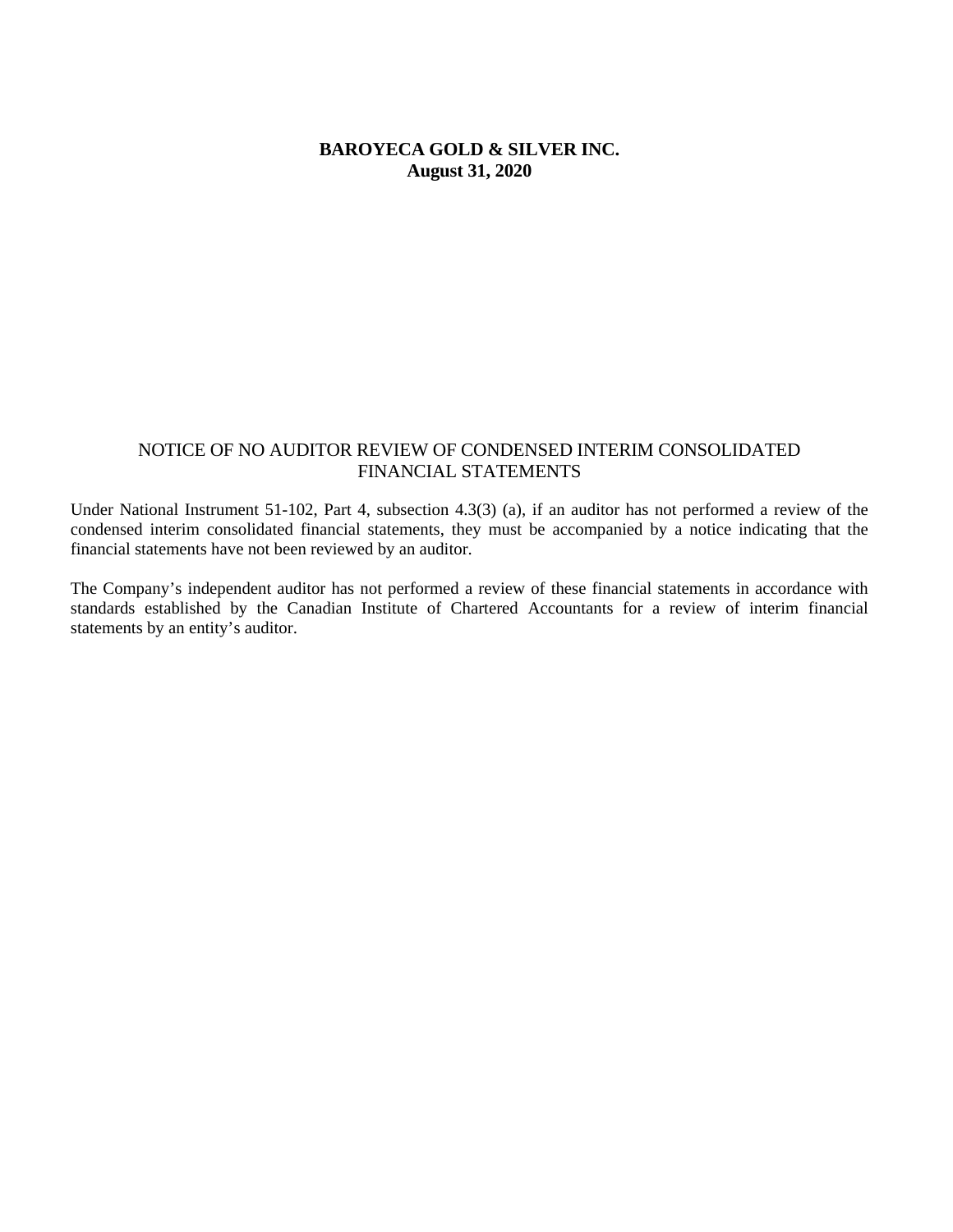# **BAROYECA GOLD & SILVER INC. August 31, 2020**

## NOTICE OF NO AUDITOR REVIEW OF CONDENSED INTERIM CONSOLIDATED FINANCIAL STATEMENTS

Under National Instrument 51-102, Part 4, subsection 4.3(3) (a), if an auditor has not performed a review of the condensed interim consolidated financial statements, they must be accompanied by a notice indicating that the financial statements have not been reviewed by an auditor.

The Company's independent auditor has not performed a review of these financial statements in accordance with standards established by the Canadian Institute of Chartered Accountants for a review of interim financial statements by an entity's auditor.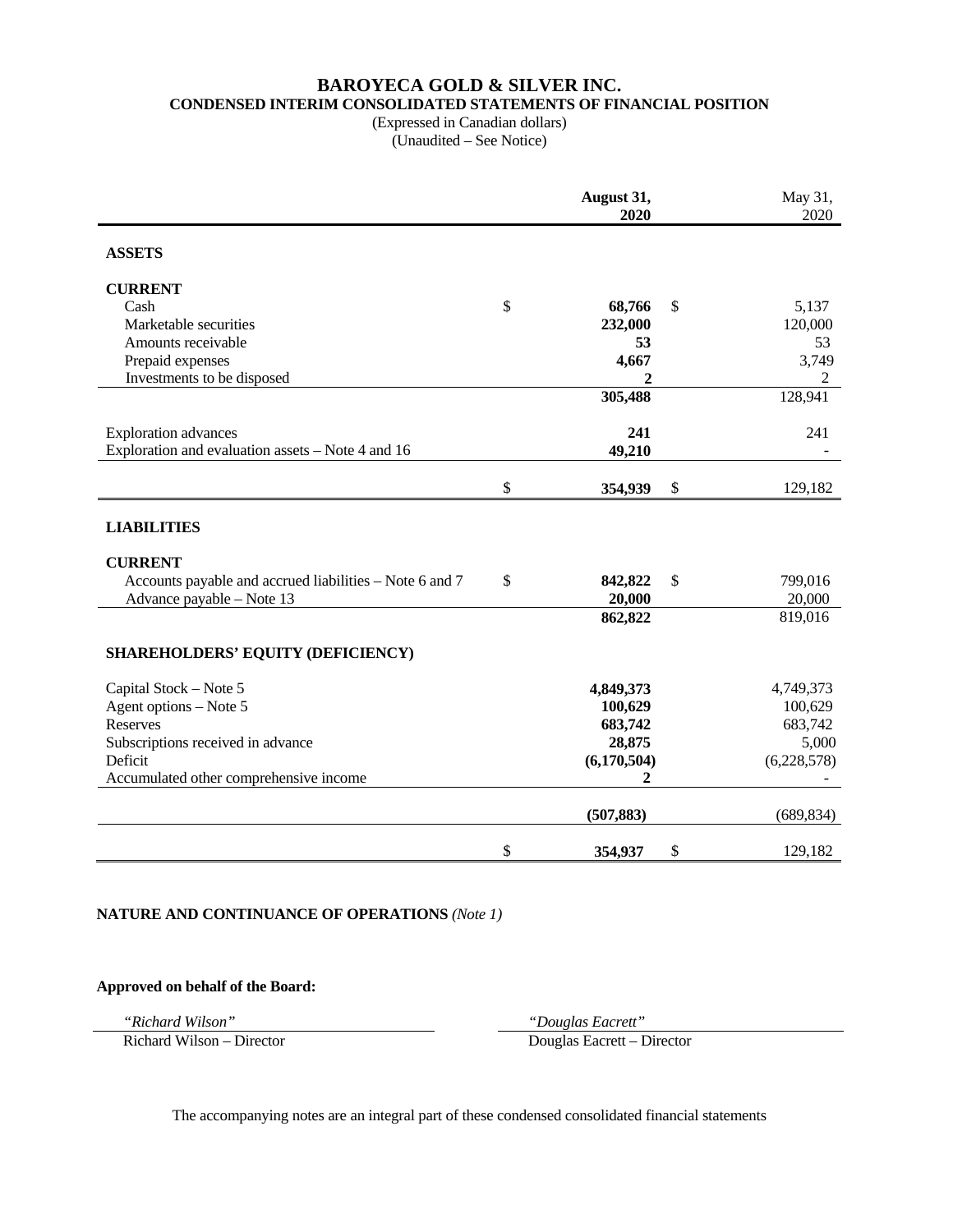# **BAROYECA GOLD & SILVER INC. CONDENSED INTERIM CONSOLIDATED STATEMENTS OF FINANCIAL POSITION**

(Expressed in Canadian dollars) (Unaudited – See Notice)

|                                                         | August 31,<br>2020 |        | May 31,<br>2020 |
|---------------------------------------------------------|--------------------|--------|-----------------|
| <b>ASSETS</b>                                           |                    |        |                 |
| <b>CURRENT</b>                                          |                    |        |                 |
| Cash                                                    | \$<br>68,766       | \$     | 5,137           |
| Marketable securities                                   | 232,000            |        | 120,000         |
| Amounts receivable                                      | 53                 |        | 53              |
| Prepaid expenses                                        | 4,667              |        | 3,749           |
| Investments to be disposed                              | 2                  |        | 2               |
|                                                         | 305,488            |        | 128,941         |
| <b>Exploration</b> advances                             | 241                |        | 241             |
| Exploration and evaluation assets – Note 4 and 16       | 49,210             |        |                 |
|                                                         | \$<br>354,939      | $\$\,$ | 129,182         |
| <b>LIABILITIES</b>                                      |                    |        |                 |
| <b>CURRENT</b>                                          |                    |        |                 |
| Accounts payable and accrued liabilities – Note 6 and 7 | \$<br>842,822      | \$     | 799,016         |
| Advance payable - Note 13                               | 20,000             |        | 20,000          |
|                                                         | 862,822            |        | 819,016         |
| SHAREHOLDERS' EQUITY (DEFICIENCY)                       |                    |        |                 |
| Capital Stock - Note 5                                  | 4,849,373          |        | 4,749,373       |
| Agent options - Note 5                                  | 100,629            |        | 100,629         |
| Reserves                                                | 683,742            |        | 683,742         |
| Subscriptions received in advance                       | 28,875             |        | 5,000           |
| Deficit                                                 | (6,170,504)        |        | (6,228,578)     |
| Accumulated other comprehensive income                  | 2                  |        |                 |
|                                                         | (507, 883)         |        | (689, 834)      |
|                                                         | \$<br>354,937      | \$     | 129,182         |

#### **NATURE AND CONTINUANCE OF OPERATIONS** *(Note 1)*

## **Approved on behalf of the Board:**

*"Richard Wilson" "Douglas Eacrett"* 

Richard Wilson – Director Douglas Eacrett – Director

The accompanying notes are an integral part of these condensed consolidated financial statements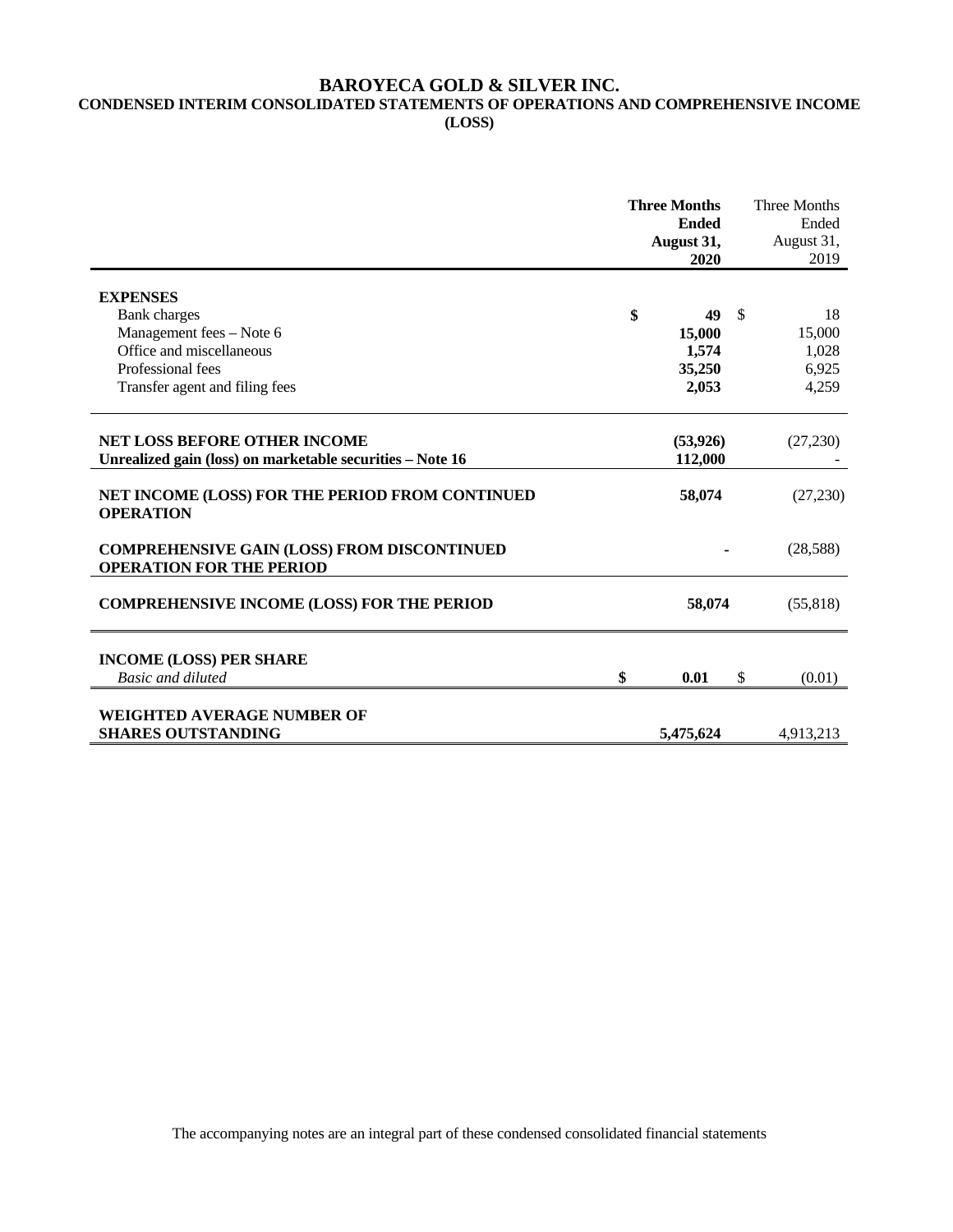#### **BAROYECA GOLD & SILVER INC. CONDENSED INTERIM CONSOLIDATED STATEMENTS OF OPERATIONS AND COMPREHENSIVE INCOME (LOSS)**

|                                                                                                  | <b>Three Months</b><br><b>Ended</b><br>August 31,<br>2020 |    | <b>Three Months</b><br>Ended<br>August 31,<br>2019 |
|--------------------------------------------------------------------------------------------------|-----------------------------------------------------------|----|----------------------------------------------------|
| <b>EXPENSES</b>                                                                                  |                                                           |    |                                                    |
| <b>Bank</b> charges                                                                              | \$<br>49                                                  | -S | 18                                                 |
| Management fees - Note 6                                                                         | 15,000                                                    |    | 15,000                                             |
| Office and miscellaneous                                                                         | 1,574                                                     |    | 1,028                                              |
| Professional fees                                                                                | 35,250                                                    |    | 6,925                                              |
| Transfer agent and filing fees                                                                   | 2,053                                                     |    | 4,259                                              |
| <b>NET LOSS BEFORE OTHER INCOME</b><br>Unrealized gain (loss) on marketable securities – Note 16 | (53, 926)<br>112,000                                      |    | (27,230)                                           |
| NET INCOME (LOSS) FOR THE PERIOD FROM CONTINUED<br><b>OPERATION</b>                              | 58,074                                                    |    | (27,230)                                           |
| <b>COMPREHENSIVE GAIN (LOSS) FROM DISCONTINUED</b><br><b>OPERATION FOR THE PERIOD</b>            |                                                           |    | (28,588)                                           |
| <b>COMPREHENSIVE INCOME (LOSS) FOR THE PERIOD</b>                                                | 58,074                                                    |    | (55, 818)                                          |
| <b>INCOME (LOSS) PER SHARE</b>                                                                   |                                                           |    |                                                    |
| Basic and diluted                                                                                | \$<br>0.01                                                | \$ | (0.01)                                             |
| <b>WEIGHTED AVERAGE NUMBER OF</b><br><b>SHARES OUTSTANDING</b>                                   | 5,475,624                                                 |    | 4,913,213                                          |

The accompanying notes are an integral part of these condensed consolidated financial statements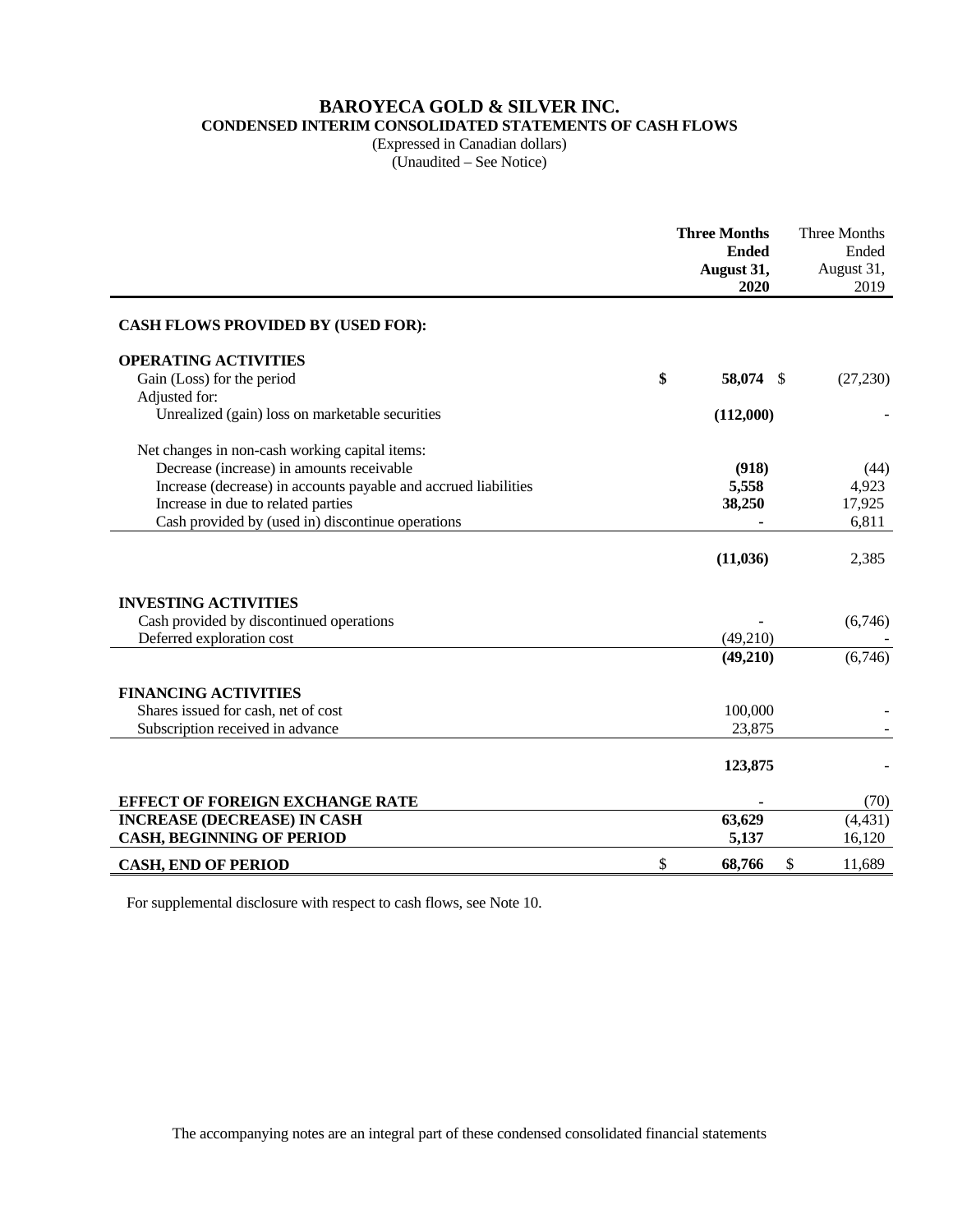# **BAROYECA GOLD & SILVER INC.**

**CONDENSED INTERIM CONSOLIDATED STATEMENTS OF CASH FLOWS** 

(Expressed in Canadian dollars) (Unaudited – See Notice)

|                                                                 | <b>Three Months</b><br><b>Ended</b><br>August 31,<br>2020 | Three Months<br>Ended<br>August 31,<br>2019 |
|-----------------------------------------------------------------|-----------------------------------------------------------|---------------------------------------------|
| <b>CASH FLOWS PROVIDED BY (USED FOR):</b>                       |                                                           |                                             |
| <b>OPERATING ACTIVITIES</b>                                     |                                                           |                                             |
| Gain (Loss) for the period                                      | \$<br>58,074 \$                                           | (27,230)                                    |
| Adjusted for:                                                   |                                                           |                                             |
| Unrealized (gain) loss on marketable securities                 | (112,000)                                                 |                                             |
| Net changes in non-cash working capital items:                  |                                                           |                                             |
| Decrease (increase) in amounts receivable                       | (918)                                                     | (44)                                        |
| Increase (decrease) in accounts payable and accrued liabilities | 5,558                                                     | 4,923                                       |
| Increase in due to related parties                              | 38,250                                                    | 17,925                                      |
| Cash provided by (used in) discontinue operations               |                                                           | 6,811                                       |
|                                                                 | (11, 036)                                                 | 2,385                                       |
| <b>INVESTING ACTIVITIES</b>                                     |                                                           |                                             |
| Cash provided by discontinued operations                        |                                                           | (6,746)                                     |
| Deferred exploration cost                                       | (49,210)                                                  |                                             |
|                                                                 | (49,210)                                                  | (6,746)                                     |
| <b>FINANCING ACTIVITIES</b>                                     |                                                           |                                             |
| Shares issued for cash, net of cost                             | 100,000                                                   |                                             |
| Subscription received in advance                                | 23,875                                                    |                                             |
|                                                                 | 123,875                                                   |                                             |
| <b>EFFECT OF FOREIGN EXCHANGE RATE</b>                          |                                                           | (70)                                        |
| <b>INCREASE (DECREASE) IN CASH</b>                              | 63,629                                                    | (4, 431)                                    |
| <b>CASH, BEGINNING OF PERIOD</b>                                | 5,137                                                     | 16,120                                      |
| <b>CASH, END OF PERIOD</b>                                      | \$<br>68,766<br>\$                                        | 11,689                                      |

For supplemental disclosure with respect to cash flows, see Note 10.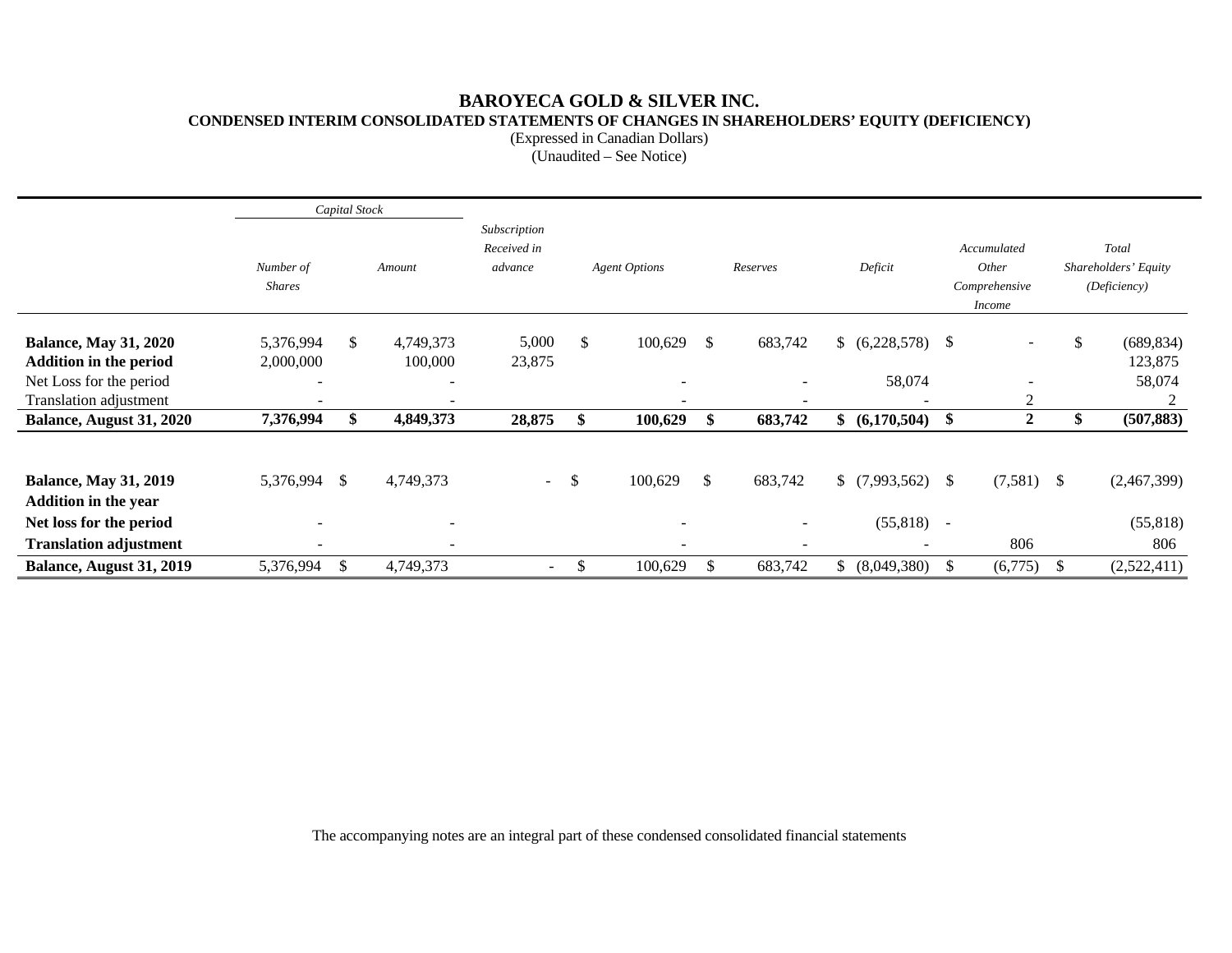# **BAROYECA GOLD & SILVER INC. CONDENSED INTERIM CONSOLIDATED STATEMENTS OF CHANGES IN SHAREHOLDERS' EQUITY (DEFICIENCY)**

(Expressed in Canadian Dollars)

(Unaudited – See Notice)

|                                                               |                            | Capital Stock |                          |                                        |    |                                                          |               |                          |    |                              |        |                                                        |    |                                               |
|---------------------------------------------------------------|----------------------------|---------------|--------------------------|----------------------------------------|----|----------------------------------------------------------|---------------|--------------------------|----|------------------------------|--------|--------------------------------------------------------|----|-----------------------------------------------|
|                                                               | Number of<br><b>Shares</b> |               | Amount                   | Subscription<br>Received in<br>advance |    | <b>Agent Options</b>                                     |               | Reserves                 |    | Deficit                      |        | Accumulated<br>Other<br>Comprehensive<br><i>Income</i> |    | Total<br>Shareholders' Equity<br>(Deficiency) |
| <b>Balance, May 31, 2020</b><br><b>Addition in the period</b> | 5,376,994<br>2,000,000     | \$            | 4,749,373<br>100,000     | 5,000<br>23,875                        | \$ | 100,629                                                  | \$            | 683,742                  |    | (6,228,578)                  | -S     | $\overline{\phantom{a}}$                               |    | (689, 834)<br>\$<br>123,875                   |
| Net Loss for the period<br>Translation adjustment             | $\overline{\phantom{0}}$   |               | $\overline{\phantom{a}}$ |                                        |    | $\overline{\phantom{a}}$<br>$\qquad \qquad \blacksquare$ |               | $\overline{\phantom{0}}$ |    | 58,074                       |        | 2                                                      |    | 58,074                                        |
| Balance, August 31, 2020                                      | 7,376,994                  | \$            | 4,849,373                | 28,875                                 | \$ | 100,629                                                  | <sup>\$</sup> | 683,742                  |    | \$ (6,170,504)               | \$     | $\boldsymbol{2}$                                       |    | \$<br>(507, 883)                              |
| <b>Balance, May 31, 2019</b><br><b>Addition in the year</b>   | 5,376,994                  | \$            | 4,749,373                | $\sim$ $\sim$                          | S. | 100,629                                                  | \$            | 683,742                  |    | \$(7,993,562)                | - \$   | $(7,581)$ \$                                           |    | (2,467,399)                                   |
| Net loss for the period                                       |                            |               |                          |                                        |    |                                                          |               |                          |    | (55, 818)                    | $\sim$ |                                                        |    | (55, 818)                                     |
| <b>Translation adjustment</b>                                 | $\overline{\phantom{0}}$   |               | $\overline{\phantom{0}}$ |                                        |    | $\overline{\phantom{a}}$                                 |               | -                        |    | $\qquad \qquad \blacksquare$ |        | 806                                                    |    | 806                                           |
| Balance, August 31, 2019                                      | 5,376,994                  | $\mathbb{S}$  | 4,749,373                | $\overline{\phantom{a}}$               | \$ | 100,629                                                  | \$.           | 683,742                  | S. | (8,049,380)                  | -S     | (6,775)                                                | -S | (2,522,411)                                   |

The accompanying notes are an integral part of these condensed consolidated financial statements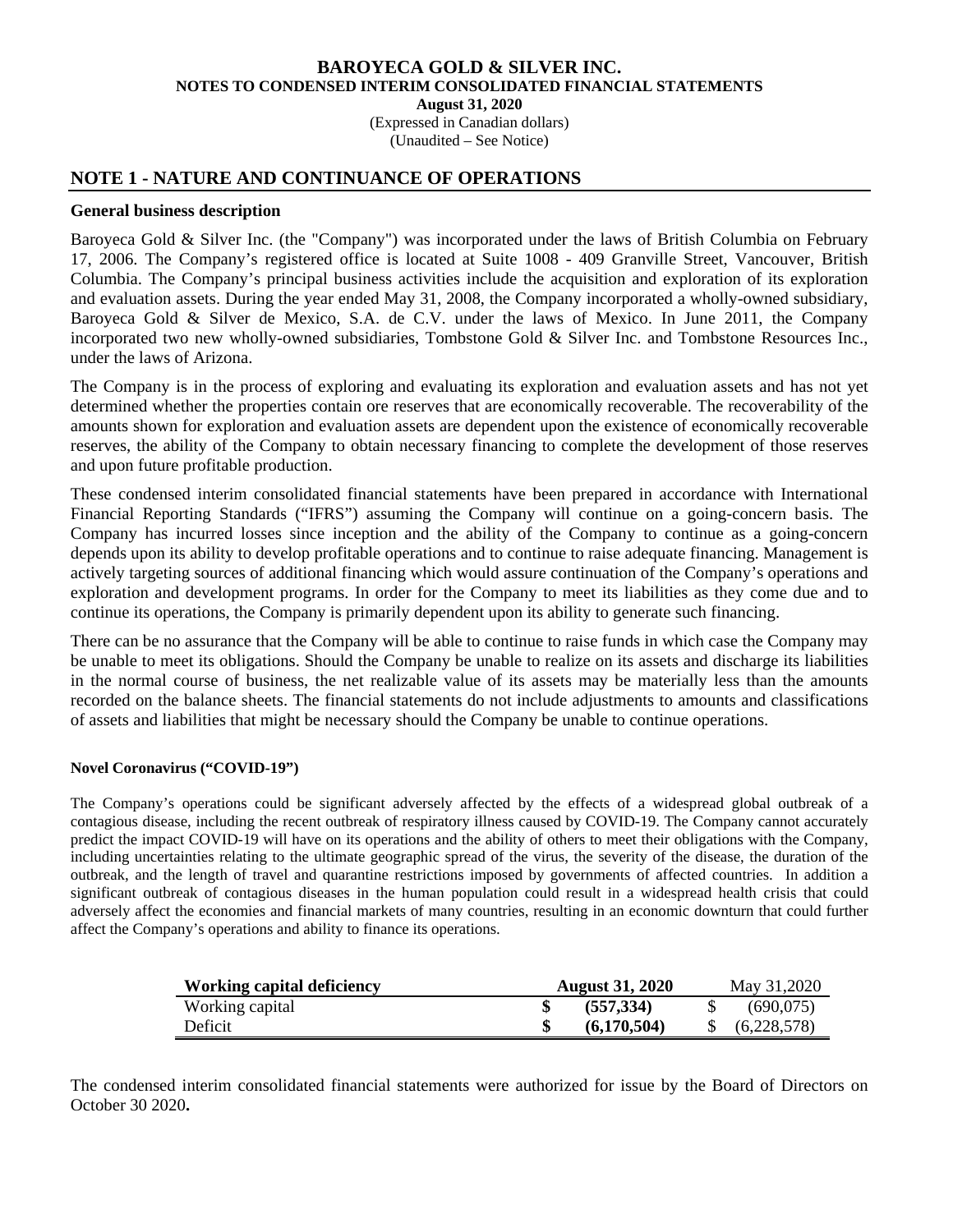(Expressed in Canadian dollars)

(Unaudited – See Notice)

## **NOTE 1 - NATURE AND CONTINUANCE OF OPERATIONS**

#### **General business description**

Baroyeca Gold & Silver Inc. (the "Company") was incorporated under the laws of British Columbia on February 17, 2006. The Company's registered office is located at Suite 1008 - 409 Granville Street, Vancouver, British Columbia. The Company's principal business activities include the acquisition and exploration of its exploration and evaluation assets. During the year ended May 31, 2008, the Company incorporated a wholly-owned subsidiary, Baroyeca Gold & Silver de Mexico, S.A. de C.V. under the laws of Mexico. In June 2011, the Company incorporated two new wholly-owned subsidiaries, Tombstone Gold & Silver Inc. and Tombstone Resources Inc., under the laws of Arizona.

The Company is in the process of exploring and evaluating its exploration and evaluation assets and has not yet determined whether the properties contain ore reserves that are economically recoverable. The recoverability of the amounts shown for exploration and evaluation assets are dependent upon the existence of economically recoverable reserves, the ability of the Company to obtain necessary financing to complete the development of those reserves and upon future profitable production.

These condensed interim consolidated financial statements have been prepared in accordance with International Financial Reporting Standards ("IFRS") assuming the Company will continue on a going-concern basis. The Company has incurred losses since inception and the ability of the Company to continue as a going-concern depends upon its ability to develop profitable operations and to continue to raise adequate financing. Management is actively targeting sources of additional financing which would assure continuation of the Company's operations and exploration and development programs. In order for the Company to meet its liabilities as they come due and to continue its operations, the Company is primarily dependent upon its ability to generate such financing.

There can be no assurance that the Company will be able to continue to raise funds in which case the Company may be unable to meet its obligations. Should the Company be unable to realize on its assets and discharge its liabilities in the normal course of business, the net realizable value of its assets may be materially less than the amounts recorded on the balance sheets. The financial statements do not include adjustments to amounts and classifications of assets and liabilities that might be necessary should the Company be unable to continue operations.

#### **Novel Coronavirus ("COVID-19")**

The Company's operations could be significant adversely affected by the effects of a widespread global outbreak of a contagious disease, including the recent outbreak of respiratory illness caused by COVID-19. The Company cannot accurately predict the impact COVID-19 will have on its operations and the ability of others to meet their obligations with the Company, including uncertainties relating to the ultimate geographic spread of the virus, the severity of the disease, the duration of the outbreak, and the length of travel and quarantine restrictions imposed by governments of affected countries. In addition a significant outbreak of contagious diseases in the human population could result in a widespread health crisis that could adversely affect the economies and financial markets of many countries, resulting in an economic downturn that could further affect the Company's operations and ability to finance its operations.

| Working capital deficiency | <b>August 31, 2020</b> |             |  | May 31,2020 |
|----------------------------|------------------------|-------------|--|-------------|
| Working capital            |                        | (557, 334)  |  | (690,075)   |
| Deficit                    |                        | (6.170.504) |  | (6,228,578) |

The condensed interim consolidated financial statements were authorized for issue by the Board of Directors on October 30 2020**.**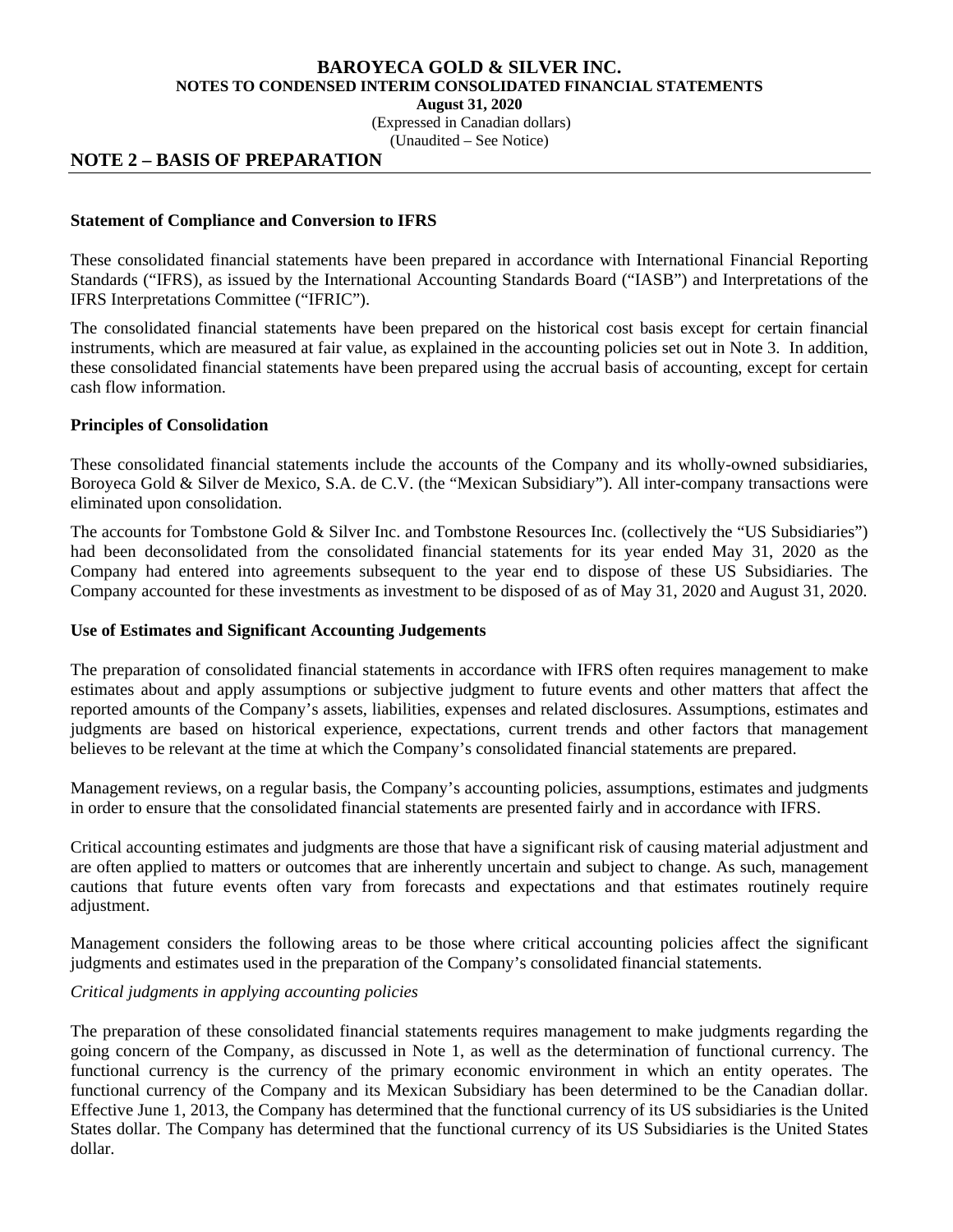**August 31, 2020** 

(Expressed in Canadian dollars)

(Unaudited – See Notice)

# **NOTE 2 – BASIS OF PREPARATION**

#### **Statement of Compliance and Conversion to IFRS**

These consolidated financial statements have been prepared in accordance with International Financial Reporting Standards ("IFRS), as issued by the International Accounting Standards Board ("IASB") and Interpretations of the IFRS Interpretations Committee ("IFRIC").

The consolidated financial statements have been prepared on the historical cost basis except for certain financial instruments, which are measured at fair value, as explained in the accounting policies set out in Note 3. In addition, these consolidated financial statements have been prepared using the accrual basis of accounting, except for certain cash flow information.

#### **Principles of Consolidation**

These consolidated financial statements include the accounts of the Company and its wholly-owned subsidiaries, Boroyeca Gold & Silver de Mexico, S.A. de C.V. (the "Mexican Subsidiary"). All inter-company transactions were eliminated upon consolidation.

The accounts for Tombstone Gold & Silver Inc. and Tombstone Resources Inc. (collectively the "US Subsidiaries") had been deconsolidated from the consolidated financial statements for its year ended May 31, 2020 as the Company had entered into agreements subsequent to the year end to dispose of these US Subsidiaries. The Company accounted for these investments as investment to be disposed of as of May 31, 2020 and August 31, 2020.

#### **Use of Estimates and Significant Accounting Judgements**

The preparation of consolidated financial statements in accordance with IFRS often requires management to make estimates about and apply assumptions or subjective judgment to future events and other matters that affect the reported amounts of the Company's assets, liabilities, expenses and related disclosures. Assumptions, estimates and judgments are based on historical experience, expectations, current trends and other factors that management believes to be relevant at the time at which the Company's consolidated financial statements are prepared.

Management reviews, on a regular basis, the Company's accounting policies, assumptions, estimates and judgments in order to ensure that the consolidated financial statements are presented fairly and in accordance with IFRS.

Critical accounting estimates and judgments are those that have a significant risk of causing material adjustment and are often applied to matters or outcomes that are inherently uncertain and subject to change. As such, management cautions that future events often vary from forecasts and expectations and that estimates routinely require adjustment.

Management considers the following areas to be those where critical accounting policies affect the significant judgments and estimates used in the preparation of the Company's consolidated financial statements.

## *Critical judgments in applying accounting policies*

The preparation of these consolidated financial statements requires management to make judgments regarding the going concern of the Company, as discussed in Note 1, as well as the determination of functional currency. The functional currency is the currency of the primary economic environment in which an entity operates. The functional currency of the Company and its Mexican Subsidiary has been determined to be the Canadian dollar. Effective June 1, 2013, the Company has determined that the functional currency of its US subsidiaries is the United States dollar. The Company has determined that the functional currency of its US Subsidiaries is the United States dollar.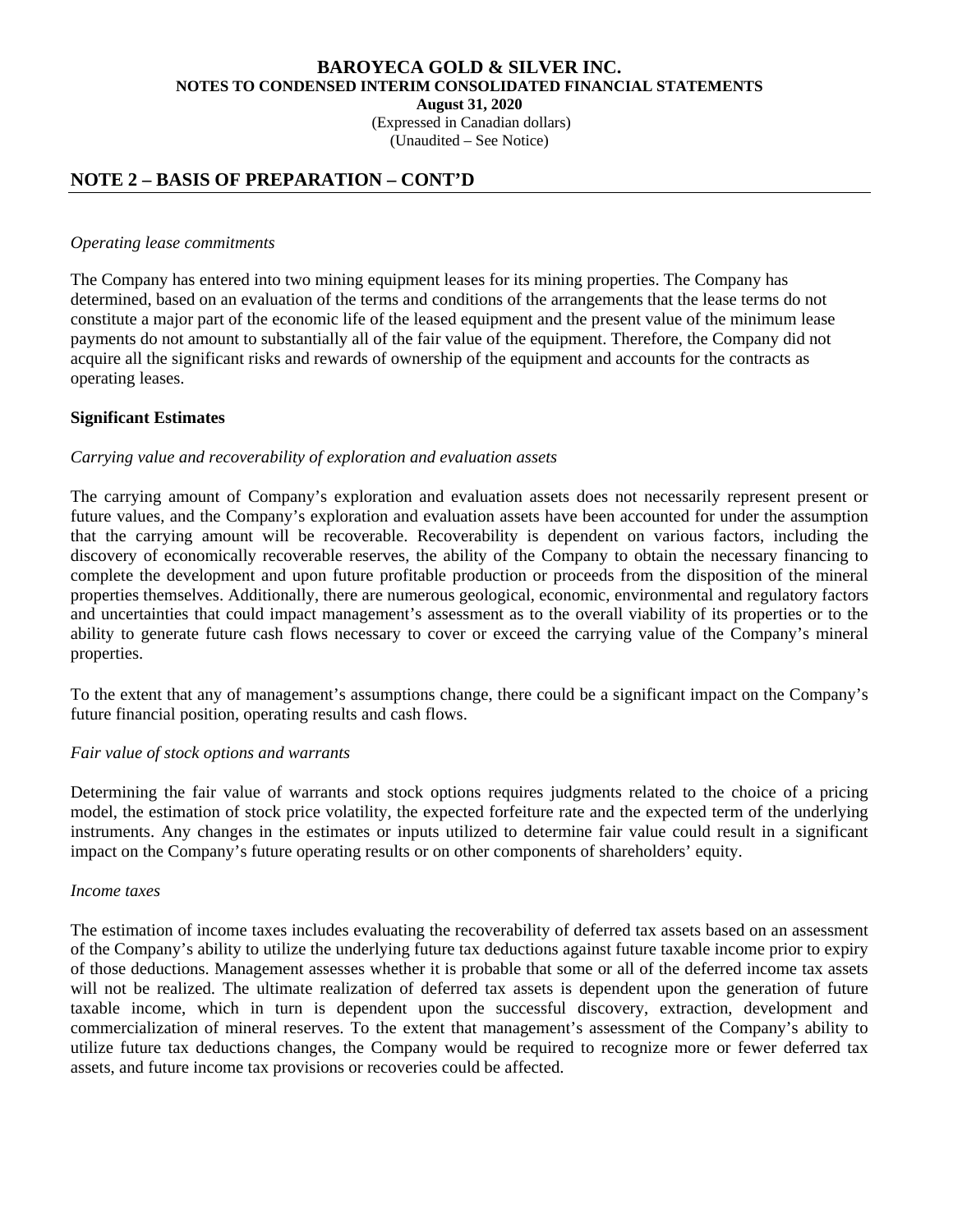(Expressed in Canadian dollars)

(Unaudited – See Notice)

# **NOTE 2 – BASIS OF PREPARATION – CONT'D**

#### *Operating lease commitments*

The Company has entered into two mining equipment leases for its mining properties. The Company has determined, based on an evaluation of the terms and conditions of the arrangements that the lease terms do not constitute a major part of the economic life of the leased equipment and the present value of the minimum lease payments do not amount to substantially all of the fair value of the equipment. Therefore, the Company did not acquire all the significant risks and rewards of ownership of the equipment and accounts for the contracts as operating leases.

## **Significant Estimates**

## *Carrying value and recoverability of exploration and evaluation assets*

The carrying amount of Company's exploration and evaluation assets does not necessarily represent present or future values, and the Company's exploration and evaluation assets have been accounted for under the assumption that the carrying amount will be recoverable. Recoverability is dependent on various factors, including the discovery of economically recoverable reserves, the ability of the Company to obtain the necessary financing to complete the development and upon future profitable production or proceeds from the disposition of the mineral properties themselves. Additionally, there are numerous geological, economic, environmental and regulatory factors and uncertainties that could impact management's assessment as to the overall viability of its properties or to the ability to generate future cash flows necessary to cover or exceed the carrying value of the Company's mineral properties.

To the extent that any of management's assumptions change, there could be a significant impact on the Company's future financial position, operating results and cash flows.

#### *Fair value of stock options and warrants*

Determining the fair value of warrants and stock options requires judgments related to the choice of a pricing model, the estimation of stock price volatility, the expected forfeiture rate and the expected term of the underlying instruments. Any changes in the estimates or inputs utilized to determine fair value could result in a significant impact on the Company's future operating results or on other components of shareholders' equity.

#### *Income taxes*

The estimation of income taxes includes evaluating the recoverability of deferred tax assets based on an assessment of the Company's ability to utilize the underlying future tax deductions against future taxable income prior to expiry of those deductions. Management assesses whether it is probable that some or all of the deferred income tax assets will not be realized. The ultimate realization of deferred tax assets is dependent upon the generation of future taxable income, which in turn is dependent upon the successful discovery, extraction, development and commercialization of mineral reserves. To the extent that management's assessment of the Company's ability to utilize future tax deductions changes, the Company would be required to recognize more or fewer deferred tax assets, and future income tax provisions or recoveries could be affected.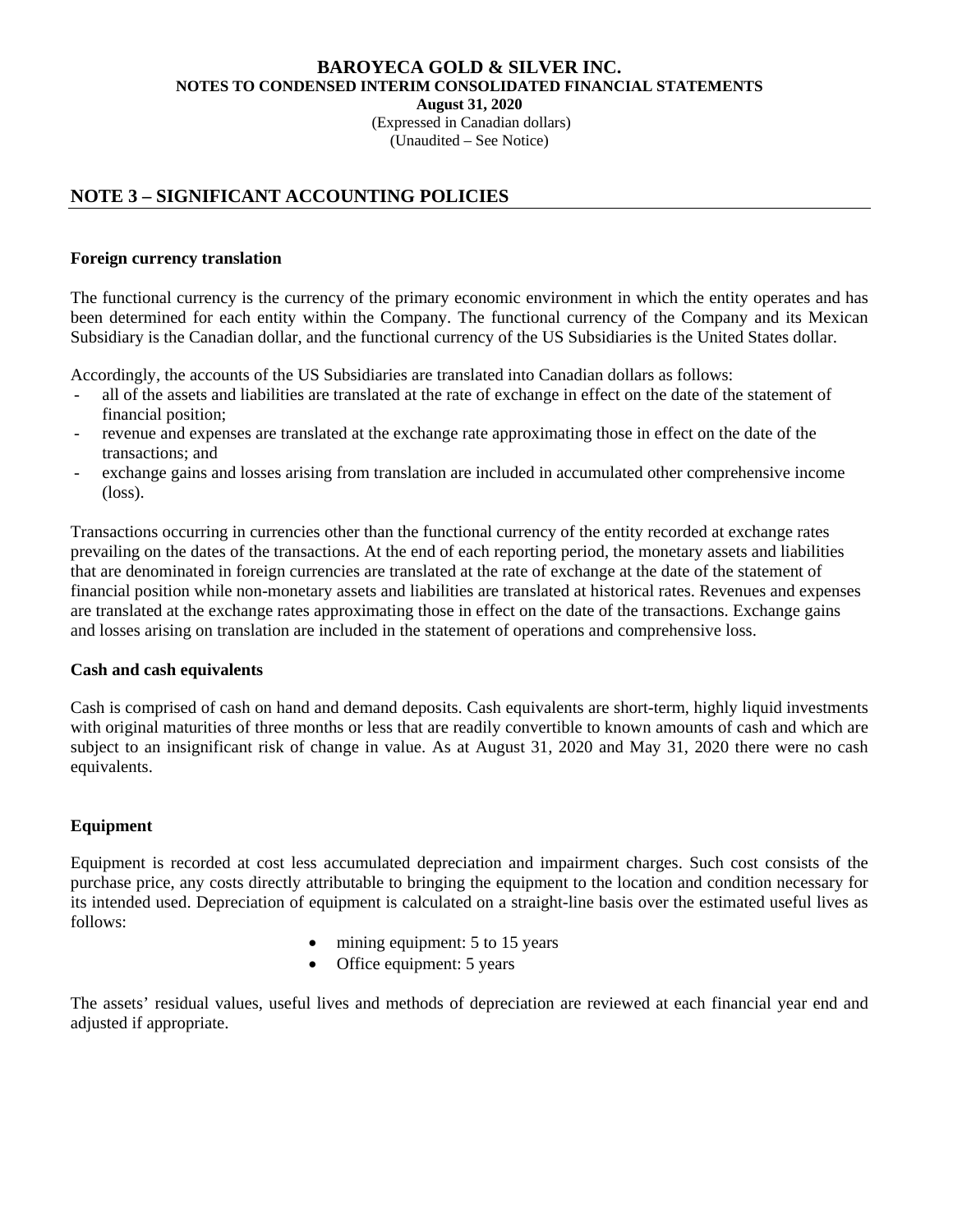**August 31, 2020** 

 (Expressed in Canadian dollars) (Unaudited – See Notice)

# **NOTE 3 – SIGNIFICANT ACCOUNTING POLICIES**

## **Foreign currency translation**

The functional currency is the currency of the primary economic environment in which the entity operates and has been determined for each entity within the Company. The functional currency of the Company and its Mexican Subsidiary is the Canadian dollar, and the functional currency of the US Subsidiaries is the United States dollar.

Accordingly, the accounts of the US Subsidiaries are translated into Canadian dollars as follows:

- all of the assets and liabilities are translated at the rate of exchange in effect on the date of the statement of financial position;
- revenue and expenses are translated at the exchange rate approximating those in effect on the date of the transactions; and
- exchange gains and losses arising from translation are included in accumulated other comprehensive income (loss).

Transactions occurring in currencies other than the functional currency of the entity recorded at exchange rates prevailing on the dates of the transactions. At the end of each reporting period, the monetary assets and liabilities that are denominated in foreign currencies are translated at the rate of exchange at the date of the statement of financial position while non-monetary assets and liabilities are translated at historical rates. Revenues and expenses are translated at the exchange rates approximating those in effect on the date of the transactions. Exchange gains and losses arising on translation are included in the statement of operations and comprehensive loss.

## **Cash and cash equivalents**

Cash is comprised of cash on hand and demand deposits. Cash equivalents are short-term, highly liquid investments with original maturities of three months or less that are readily convertible to known amounts of cash and which are subject to an insignificant risk of change in value. As at August 31, 2020 and May 31, 2020 there were no cash equivalents.

## **Equipment**

Equipment is recorded at cost less accumulated depreciation and impairment charges. Such cost consists of the purchase price, any costs directly attributable to bringing the equipment to the location and condition necessary for its intended used. Depreciation of equipment is calculated on a straight-line basis over the estimated useful lives as follows:

- mining equipment: 5 to 15 years
- Office equipment: 5 years

The assets' residual values, useful lives and methods of depreciation are reviewed at each financial year end and adjusted if appropriate.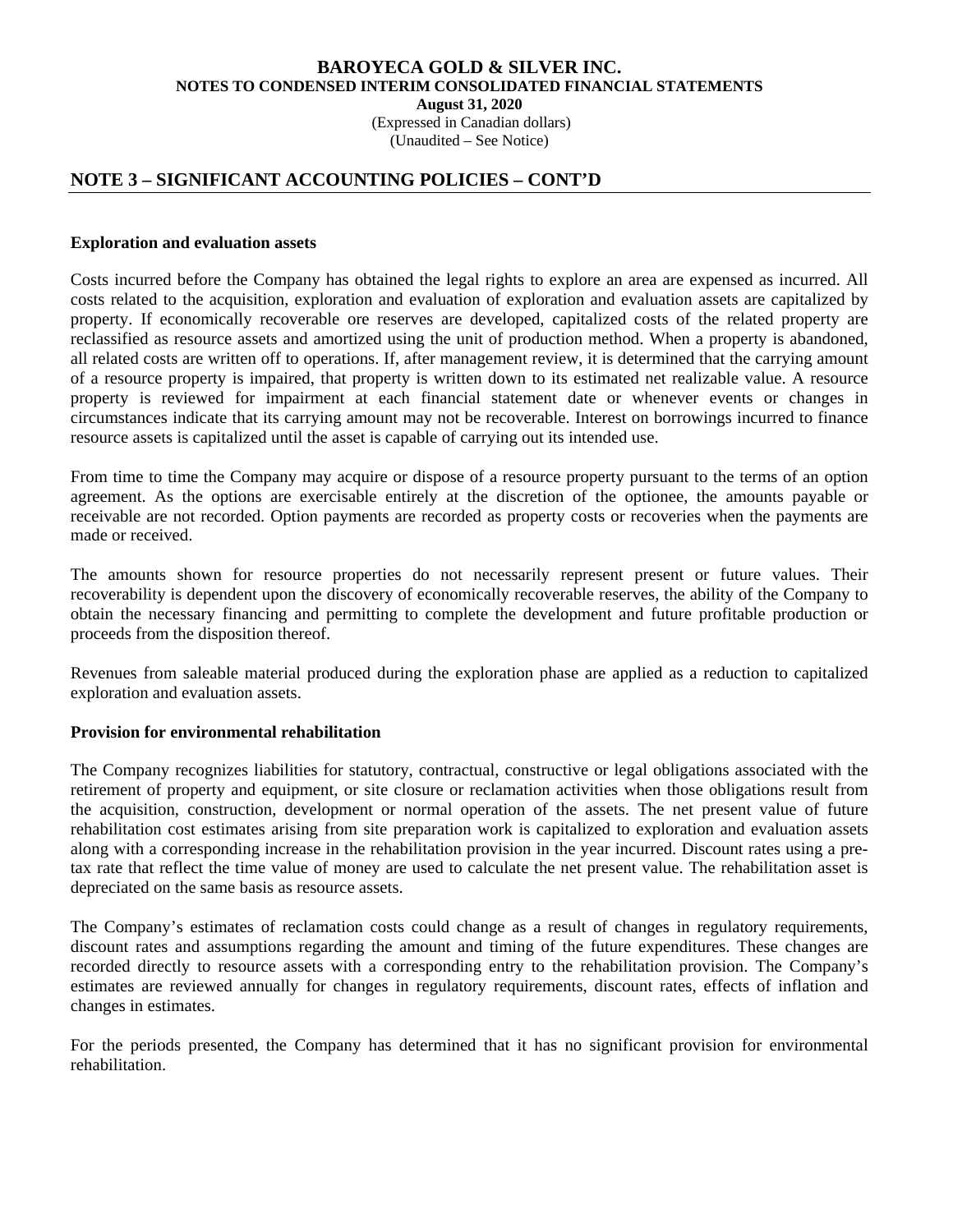(Expressed in Canadian dollars)

(Unaudited – See Notice)

# **NOTE 3 – SIGNIFICANT ACCOUNTING POLICIES – CONT'D**

#### **Exploration and evaluation assets**

Costs incurred before the Company has obtained the legal rights to explore an area are expensed as incurred. All costs related to the acquisition, exploration and evaluation of exploration and evaluation assets are capitalized by property. If economically recoverable ore reserves are developed, capitalized costs of the related property are reclassified as resource assets and amortized using the unit of production method. When a property is abandoned, all related costs are written off to operations. If, after management review, it is determined that the carrying amount of a resource property is impaired, that property is written down to its estimated net realizable value. A resource property is reviewed for impairment at each financial statement date or whenever events or changes in circumstances indicate that its carrying amount may not be recoverable. Interest on borrowings incurred to finance resource assets is capitalized until the asset is capable of carrying out its intended use.

From time to time the Company may acquire or dispose of a resource property pursuant to the terms of an option agreement. As the options are exercisable entirely at the discretion of the optionee, the amounts payable or receivable are not recorded. Option payments are recorded as property costs or recoveries when the payments are made or received.

The amounts shown for resource properties do not necessarily represent present or future values. Their recoverability is dependent upon the discovery of economically recoverable reserves, the ability of the Company to obtain the necessary financing and permitting to complete the development and future profitable production or proceeds from the disposition thereof.

Revenues from saleable material produced during the exploration phase are applied as a reduction to capitalized exploration and evaluation assets.

## **Provision for environmental rehabilitation**

The Company recognizes liabilities for statutory, contractual, constructive or legal obligations associated with the retirement of property and equipment, or site closure or reclamation activities when those obligations result from the acquisition, construction, development or normal operation of the assets. The net present value of future rehabilitation cost estimates arising from site preparation work is capitalized to exploration and evaluation assets along with a corresponding increase in the rehabilitation provision in the year incurred. Discount rates using a pretax rate that reflect the time value of money are used to calculate the net present value. The rehabilitation asset is depreciated on the same basis as resource assets.

The Company's estimates of reclamation costs could change as a result of changes in regulatory requirements, discount rates and assumptions regarding the amount and timing of the future expenditures. These changes are recorded directly to resource assets with a corresponding entry to the rehabilitation provision. The Company's estimates are reviewed annually for changes in regulatory requirements, discount rates, effects of inflation and changes in estimates.

For the periods presented, the Company has determined that it has no significant provision for environmental rehabilitation.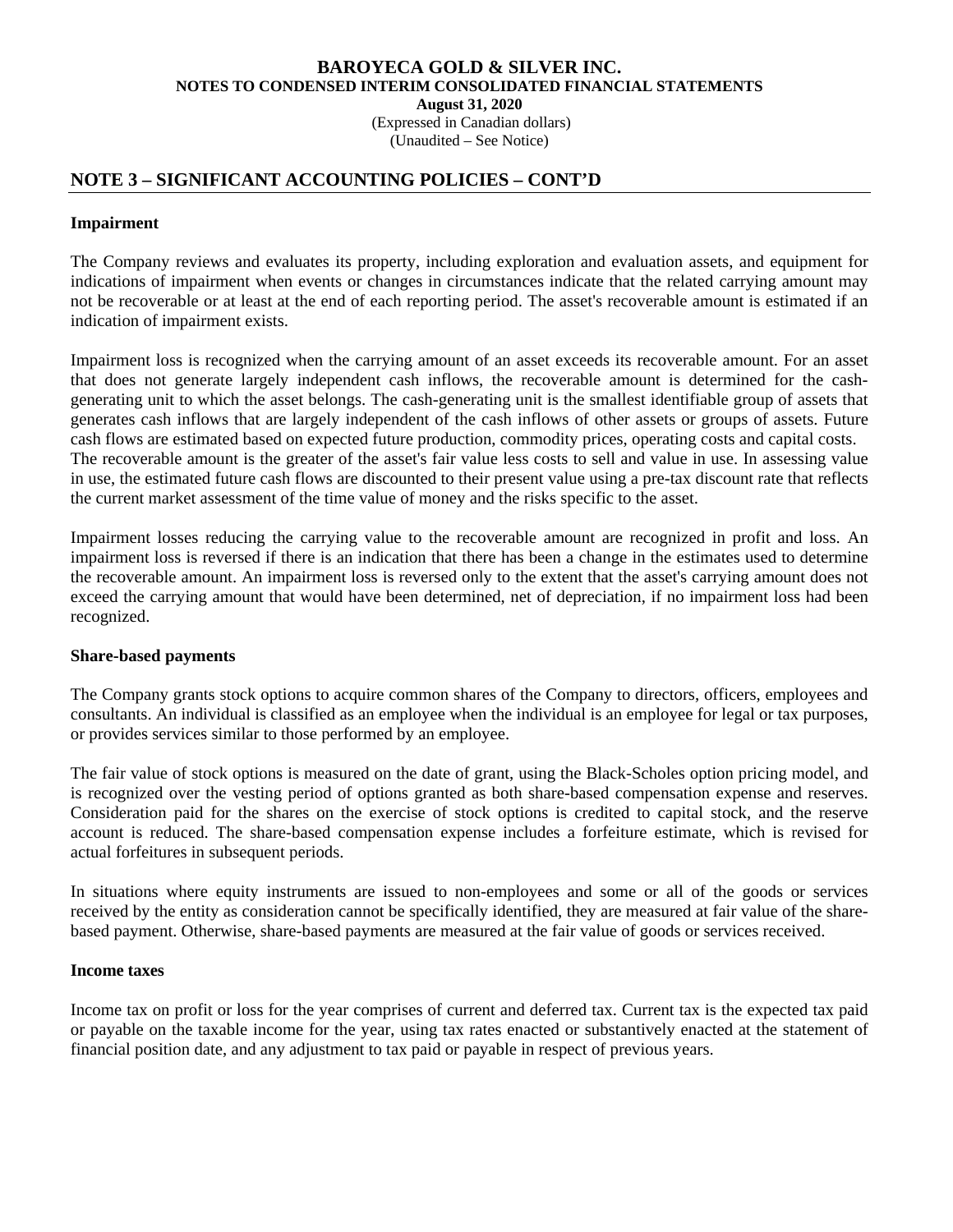(Expressed in Canadian dollars) (Unaudited – See Notice)

# **NOTE 3 – SIGNIFICANT ACCOUNTING POLICIES – CONT'D**

### **Impairment**

The Company reviews and evaluates its property, including exploration and evaluation assets, and equipment for indications of impairment when events or changes in circumstances indicate that the related carrying amount may not be recoverable or at least at the end of each reporting period. The asset's recoverable amount is estimated if an indication of impairment exists.

Impairment loss is recognized when the carrying amount of an asset exceeds its recoverable amount. For an asset that does not generate largely independent cash inflows, the recoverable amount is determined for the cashgenerating unit to which the asset belongs. The cash-generating unit is the smallest identifiable group of assets that generates cash inflows that are largely independent of the cash inflows of other assets or groups of assets. Future cash flows are estimated based on expected future production, commodity prices, operating costs and capital costs. The recoverable amount is the greater of the asset's fair value less costs to sell and value in use. In assessing value in use, the estimated future cash flows are discounted to their present value using a pre-tax discount rate that reflects the current market assessment of the time value of money and the risks specific to the asset.

Impairment losses reducing the carrying value to the recoverable amount are recognized in profit and loss. An impairment loss is reversed if there is an indication that there has been a change in the estimates used to determine the recoverable amount. An impairment loss is reversed only to the extent that the asset's carrying amount does not exceed the carrying amount that would have been determined, net of depreciation, if no impairment loss had been recognized.

#### **Share-based payments**

The Company grants stock options to acquire common shares of the Company to directors, officers, employees and consultants. An individual is classified as an employee when the individual is an employee for legal or tax purposes, or provides services similar to those performed by an employee.

The fair value of stock options is measured on the date of grant, using the Black-Scholes option pricing model, and is recognized over the vesting period of options granted as both share-based compensation expense and reserves. Consideration paid for the shares on the exercise of stock options is credited to capital stock, and the reserve account is reduced. The share-based compensation expense includes a forfeiture estimate, which is revised for actual forfeitures in subsequent periods.

In situations where equity instruments are issued to non-employees and some or all of the goods or services received by the entity as consideration cannot be specifically identified, they are measured at fair value of the sharebased payment. Otherwise, share-based payments are measured at the fair value of goods or services received.

#### **Income taxes**

Income tax on profit or loss for the year comprises of current and deferred tax. Current tax is the expected tax paid or payable on the taxable income for the year, using tax rates enacted or substantively enacted at the statement of financial position date, and any adjustment to tax paid or payable in respect of previous years.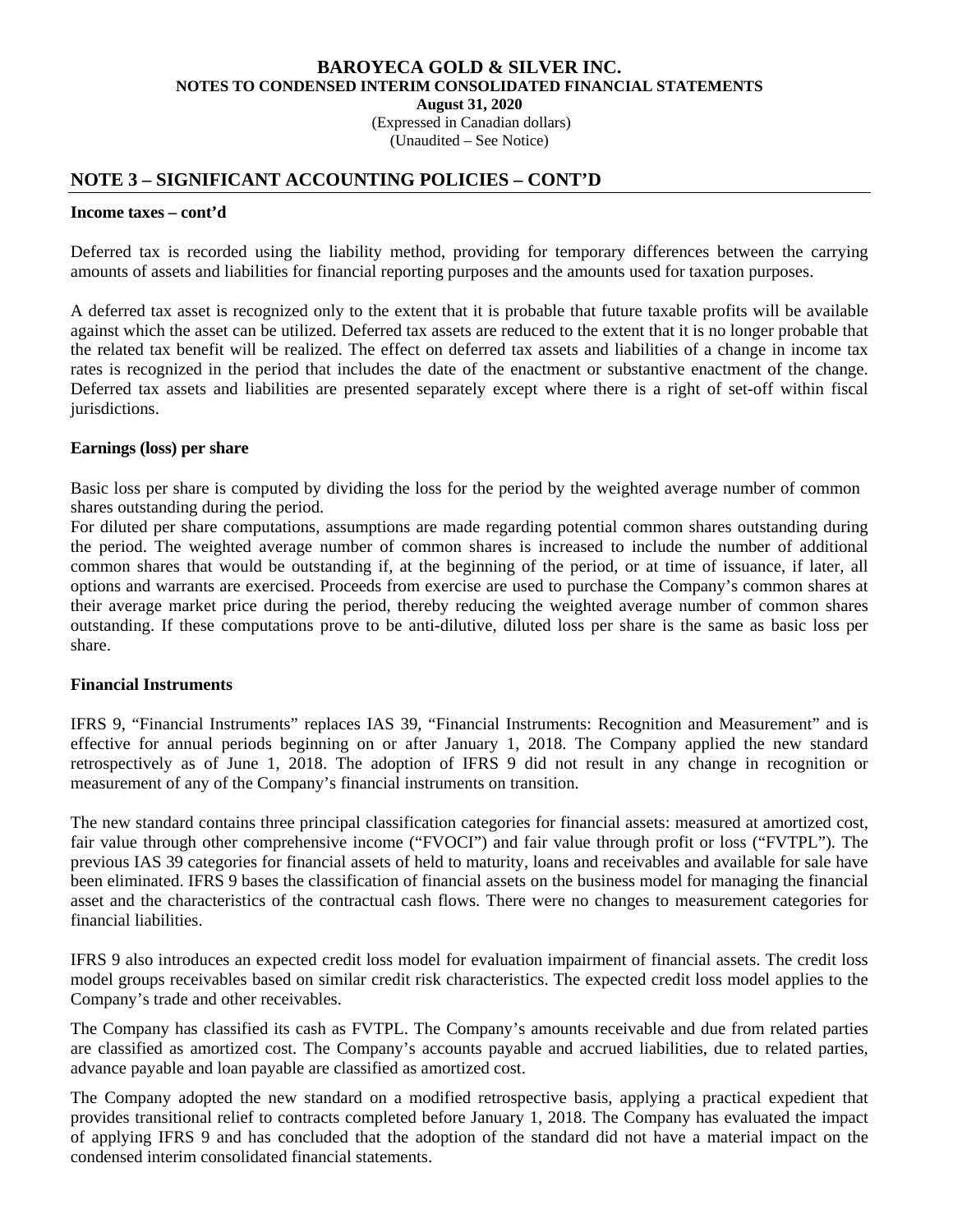(Expressed in Canadian dollars) (Unaudited – See Notice)

# **NOTE 3 – SIGNIFICANT ACCOUNTING POLICIES – CONT'D**

#### **Income taxes – cont'd**

Deferred tax is recorded using the liability method, providing for temporary differences between the carrying amounts of assets and liabilities for financial reporting purposes and the amounts used for taxation purposes.

A deferred tax asset is recognized only to the extent that it is probable that future taxable profits will be available against which the asset can be utilized. Deferred tax assets are reduced to the extent that it is no longer probable that the related tax benefit will be realized. The effect on deferred tax assets and liabilities of a change in income tax rates is recognized in the period that includes the date of the enactment or substantive enactment of the change. Deferred tax assets and liabilities are presented separately except where there is a right of set-off within fiscal jurisdictions.

#### **Earnings (loss) per share**

Basic loss per share is computed by dividing the loss for the period by the weighted average number of common shares outstanding during the period.

For diluted per share computations, assumptions are made regarding potential common shares outstanding during the period. The weighted average number of common shares is increased to include the number of additional common shares that would be outstanding if, at the beginning of the period, or at time of issuance, if later, all options and warrants are exercised. Proceeds from exercise are used to purchase the Company's common shares at their average market price during the period, thereby reducing the weighted average number of common shares outstanding. If these computations prove to be anti-dilutive, diluted loss per share is the same as basic loss per share.

## **Financial Instruments**

IFRS 9, "Financial Instruments" replaces IAS 39, "Financial Instruments: Recognition and Measurement" and is effective for annual periods beginning on or after January 1, 2018. The Company applied the new standard retrospectively as of June 1, 2018. The adoption of IFRS 9 did not result in any change in recognition or measurement of any of the Company's financial instruments on transition.

The new standard contains three principal classification categories for financial assets: measured at amortized cost, fair value through other comprehensive income ("FVOCI") and fair value through profit or loss ("FVTPL"). The previous IAS 39 categories for financial assets of held to maturity, loans and receivables and available for sale have been eliminated. IFRS 9 bases the classification of financial assets on the business model for managing the financial asset and the characteristics of the contractual cash flows. There were no changes to measurement categories for financial liabilities.

IFRS 9 also introduces an expected credit loss model for evaluation impairment of financial assets. The credit loss model groups receivables based on similar credit risk characteristics. The expected credit loss model applies to the Company's trade and other receivables.

 The Company has classified its cash as FVTPL. The Company's amounts receivable and due from related parties are classified as amortized cost. The Company's accounts payable and accrued liabilities, due to related parties, advance payable and loan payable are classified as amortized cost.

The Company adopted the new standard on a modified retrospective basis, applying a practical expedient that provides transitional relief to contracts completed before January 1, 2018. The Company has evaluated the impact of applying IFRS 9 and has concluded that the adoption of the standard did not have a material impact on the condensed interim consolidated financial statements.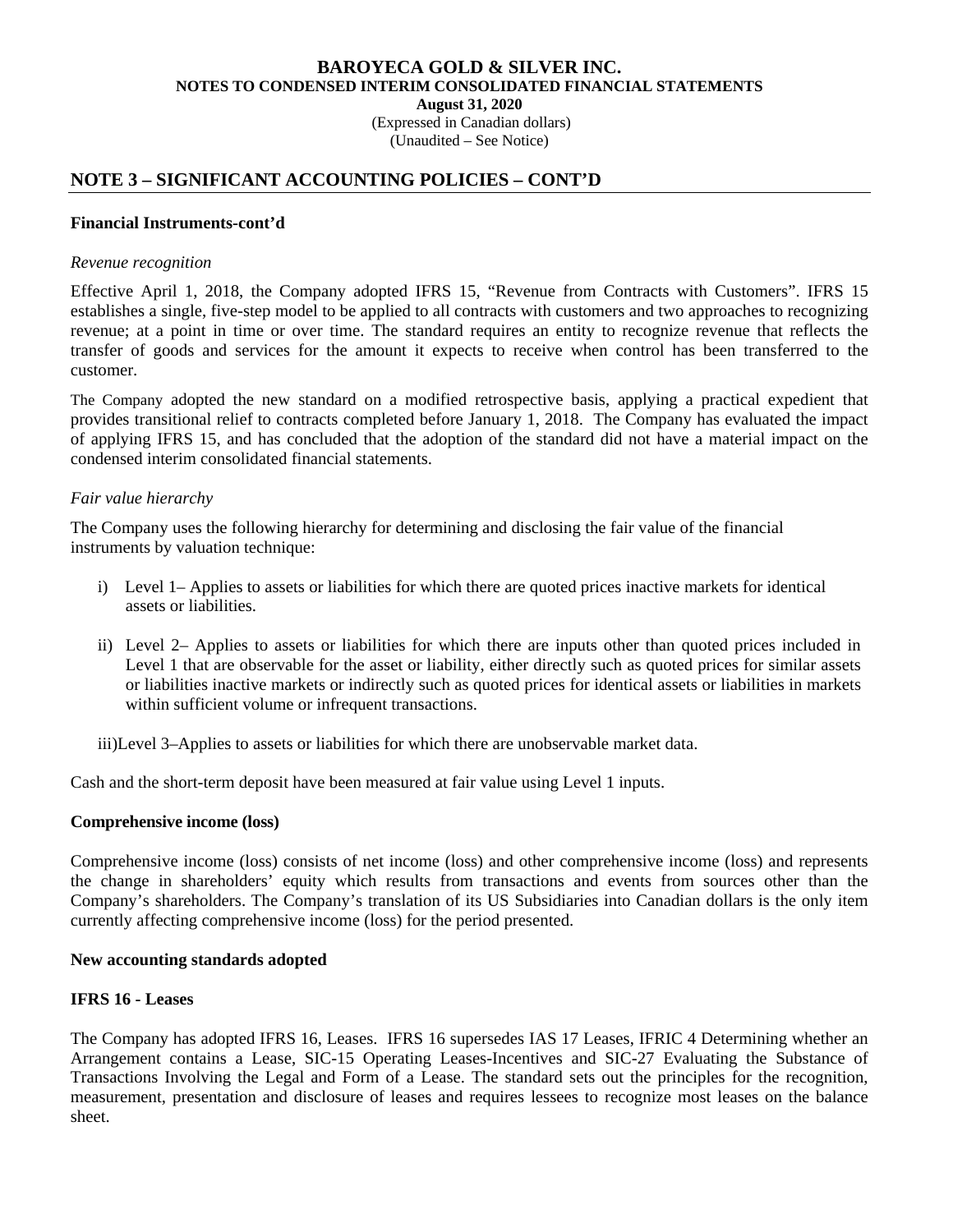(Expressed in Canadian dollars)

(Unaudited – See Notice)

# **NOTE 3 – SIGNIFICANT ACCOUNTING POLICIES – CONT'D**

#### **Financial Instruments-cont'd**

#### *Revenue recognition*

Effective April 1, 2018, the Company adopted IFRS 15, "Revenue from Contracts with Customers". IFRS 15 establishes a single, five-step model to be applied to all contracts with customers and two approaches to recognizing revenue; at a point in time or over time. The standard requires an entity to recognize revenue that reflects the transfer of goods and services for the amount it expects to receive when control has been transferred to the customer.

The Company adopted the new standard on a modified retrospective basis, applying a practical expedient that provides transitional relief to contracts completed before January 1, 2018. The Company has evaluated the impact of applying IFRS 15, and has concluded that the adoption of the standard did not have a material impact on the condensed interim consolidated financial statements.

#### *Fair value hierarchy*

The Company uses the following hierarchy for determining and disclosing the fair value of the financial instruments by valuation technique:

- i) Level 1– Applies to assets or liabilities for which there are quoted prices inactive markets for identical assets or liabilities.
- ii) Level 2– Applies to assets or liabilities for which there are inputs other than quoted prices included in Level 1 that are observable for the asset or liability, either directly such as quoted prices for similar assets or liabilities inactive markets or indirectly such as quoted prices for identical assets or liabilities in markets within sufficient volume or infrequent transactions.

iii)Level 3–Applies to assets or liabilities for which there are unobservable market data.

Cash and the short-term deposit have been measured at fair value using Level 1 inputs.

## **Comprehensive income (loss)**

Comprehensive income (loss) consists of net income (loss) and other comprehensive income (loss) and represents the change in shareholders' equity which results from transactions and events from sources other than the Company's shareholders. The Company's translation of its US Subsidiaries into Canadian dollars is the only item currently affecting comprehensive income (loss) for the period presented.

#### **New accounting standards adopted**

## **IFRS 16 - Leases**

The Company has adopted IFRS 16, Leases. IFRS 16 supersedes IAS 17 Leases, IFRIC 4 Determining whether an Arrangement contains a Lease, SIC-15 Operating Leases-Incentives and SIC-27 Evaluating the Substance of Transactions Involving the Legal and Form of a Lease. The standard sets out the principles for the recognition, measurement, presentation and disclosure of leases and requires lessees to recognize most leases on the balance sheet.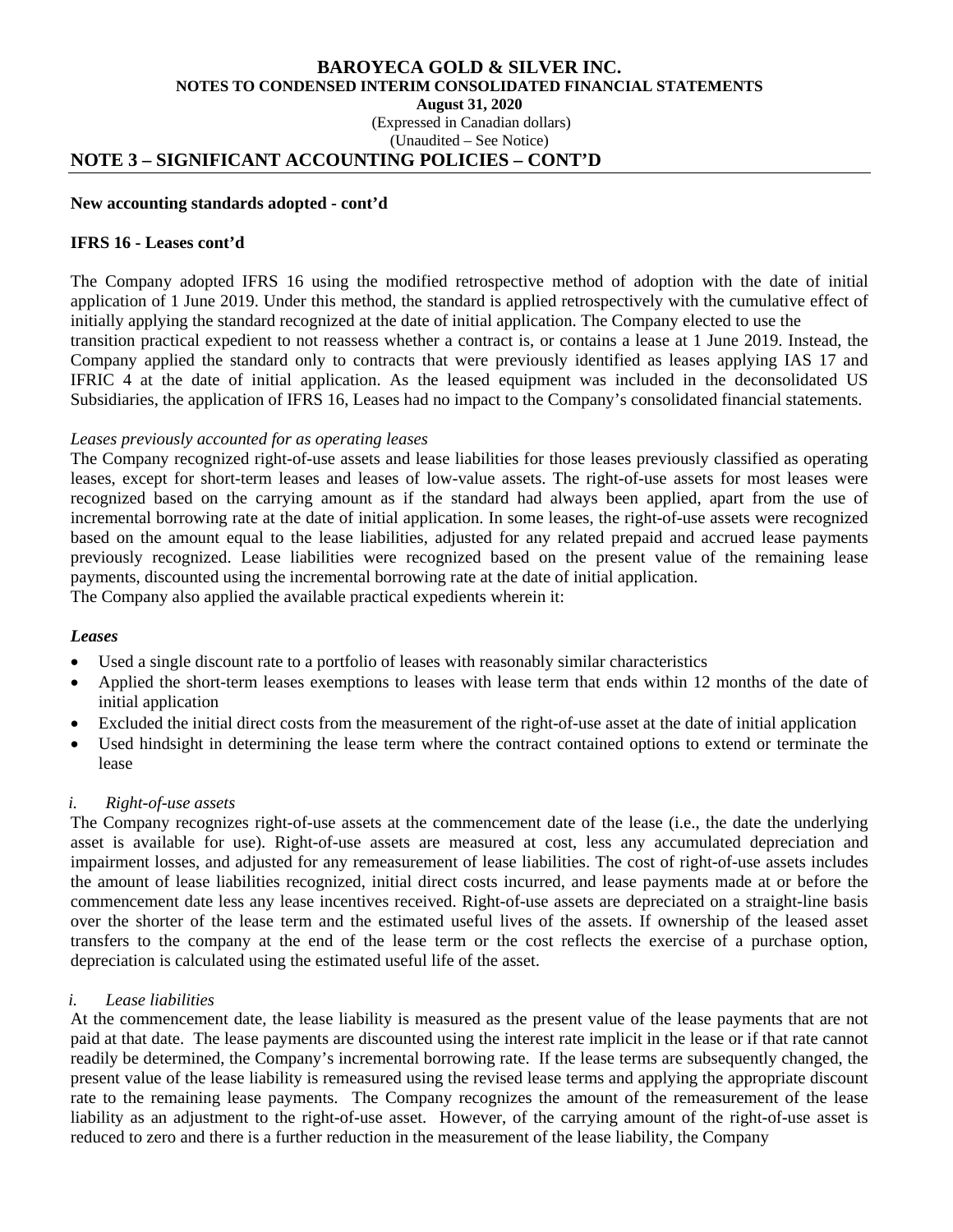#### **BAROYECA GOLD & SILVER INC. NOTES TO CONDENSED INTERIM CONSOLIDATED FINANCIAL STATEMENTS August 31, 2020**  (Expressed in Canadian dollars) (Unaudited – See Notice)

# **NOTE 3 – SIGNIFICANT ACCOUNTING POLICIES – CONT'D**

#### **New accounting standards adopted - cont'd**

#### **IFRS 16 - Leases cont'd**

The Company adopted IFRS 16 using the modified retrospective method of adoption with the date of initial application of 1 June 2019. Under this method, the standard is applied retrospectively with the cumulative effect of initially applying the standard recognized at the date of initial application. The Company elected to use the transition practical expedient to not reassess whether a contract is, or contains a lease at 1 June 2019. Instead, the Company applied the standard only to contracts that were previously identified as leases applying IAS 17 and IFRIC 4 at the date of initial application. As the leased equipment was included in the deconsolidated US Subsidiaries, the application of IFRS 16, Leases had no impact to the Company's consolidated financial statements.

#### *Leases previously accounted for as operating leases*

The Company recognized right-of-use assets and lease liabilities for those leases previously classified as operating leases, except for short-term leases and leases of low-value assets. The right-of-use assets for most leases were recognized based on the carrying amount as if the standard had always been applied, apart from the use of incremental borrowing rate at the date of initial application. In some leases, the right-of-use assets were recognized based on the amount equal to the lease liabilities, adjusted for any related prepaid and accrued lease payments previously recognized. Lease liabilities were recognized based on the present value of the remaining lease payments, discounted using the incremental borrowing rate at the date of initial application.

The Company also applied the available practical expedients wherein it:

#### *Leases*

- Used a single discount rate to a portfolio of leases with reasonably similar characteristics
- Applied the short-term leases exemptions to leases with lease term that ends within 12 months of the date of initial application
- Excluded the initial direct costs from the measurement of the right-of-use asset at the date of initial application
- Used hindsight in determining the lease term where the contract contained options to extend or terminate the lease

## *i. Right-of-use assets*

The Company recognizes right-of-use assets at the commencement date of the lease (i.e., the date the underlying asset is available for use). Right-of-use assets are measured at cost, less any accumulated depreciation and impairment losses, and adjusted for any remeasurement of lease liabilities. The cost of right-of-use assets includes the amount of lease liabilities recognized, initial direct costs incurred, and lease payments made at or before the commencement date less any lease incentives received. Right-of-use assets are depreciated on a straight-line basis over the shorter of the lease term and the estimated useful lives of the assets. If ownership of the leased asset transfers to the company at the end of the lease term or the cost reflects the exercise of a purchase option, depreciation is calculated using the estimated useful life of the asset.

## *i. Lease liabilities*

At the commencement date, the lease liability is measured as the present value of the lease payments that are not paid at that date. The lease payments are discounted using the interest rate implicit in the lease or if that rate cannot readily be determined, the Company's incremental borrowing rate. If the lease terms are subsequently changed, the present value of the lease liability is remeasured using the revised lease terms and applying the appropriate discount rate to the remaining lease payments. The Company recognizes the amount of the remeasurement of the lease liability as an adjustment to the right-of-use asset. However, of the carrying amount of the right-of-use asset is reduced to zero and there is a further reduction in the measurement of the lease liability, the Company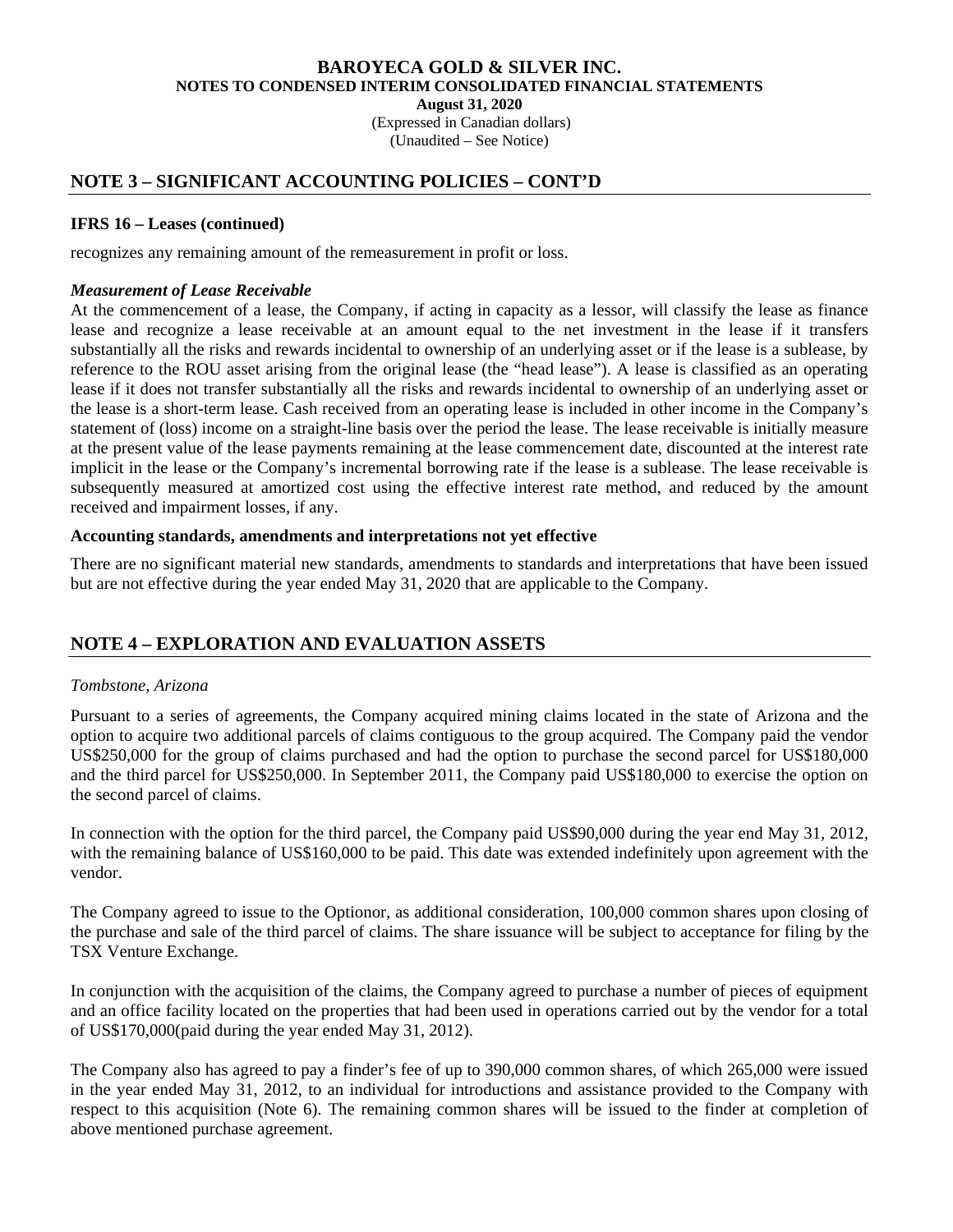**August 31, 2020** 

 (Expressed in Canadian dollars) (Unaudited – See Notice)

# **NOTE 3 – SIGNIFICANT ACCOUNTING POLICIES – CONT'D**

### **IFRS 16 – Leases (continued)**

recognizes any remaining amount of the remeasurement in profit or loss.

### *Measurement of Lease Receivable*

At the commencement of a lease, the Company, if acting in capacity as a lessor, will classify the lease as finance lease and recognize a lease receivable at an amount equal to the net investment in the lease if it transfers substantially all the risks and rewards incidental to ownership of an underlying asset or if the lease is a sublease, by reference to the ROU asset arising from the original lease (the "head lease"). A lease is classified as an operating lease if it does not transfer substantially all the risks and rewards incidental to ownership of an underlying asset or the lease is a short-term lease. Cash received from an operating lease is included in other income in the Company's statement of (loss) income on a straight-line basis over the period the lease. The lease receivable is initially measure at the present value of the lease payments remaining at the lease commencement date, discounted at the interest rate implicit in the lease or the Company's incremental borrowing rate if the lease is a sublease. The lease receivable is subsequently measured at amortized cost using the effective interest rate method, and reduced by the amount received and impairment losses, if any.

#### **Accounting standards, amendments and interpretations not yet effective**

There are no significant material new standards, amendments to standards and interpretations that have been issued but are not effective during the year ended May 31, 2020 that are applicable to the Company.

# **NOTE 4 – EXPLORATION AND EVALUATION ASSETS**

## *Tombstone, Arizona*

Pursuant to a series of agreements, the Company acquired mining claims located in the state of Arizona and the option to acquire two additional parcels of claims contiguous to the group acquired. The Company paid the vendor US\$250,000 for the group of claims purchased and had the option to purchase the second parcel for US\$180,000 and the third parcel for US\$250,000. In September 2011, the Company paid US\$180,000 to exercise the option on the second parcel of claims.

In connection with the option for the third parcel, the Company paid US\$90,000 during the year end May 31, 2012, with the remaining balance of US\$160,000 to be paid. This date was extended indefinitely upon agreement with the vendor.

The Company agreed to issue to the Optionor, as additional consideration, 100,000 common shares upon closing of the purchase and sale of the third parcel of claims. The share issuance will be subject to acceptance for filing by the TSX Venture Exchange.

In conjunction with the acquisition of the claims, the Company agreed to purchase a number of pieces of equipment and an office facility located on the properties that had been used in operations carried out by the vendor for a total of US\$170,000(paid during the year ended May 31, 2012).

The Company also has agreed to pay a finder's fee of up to 390,000 common shares, of which 265,000 were issued in the year ended May 31, 2012, to an individual for introductions and assistance provided to the Company with respect to this acquisition (Note 6). The remaining common shares will be issued to the finder at completion of above mentioned purchase agreement.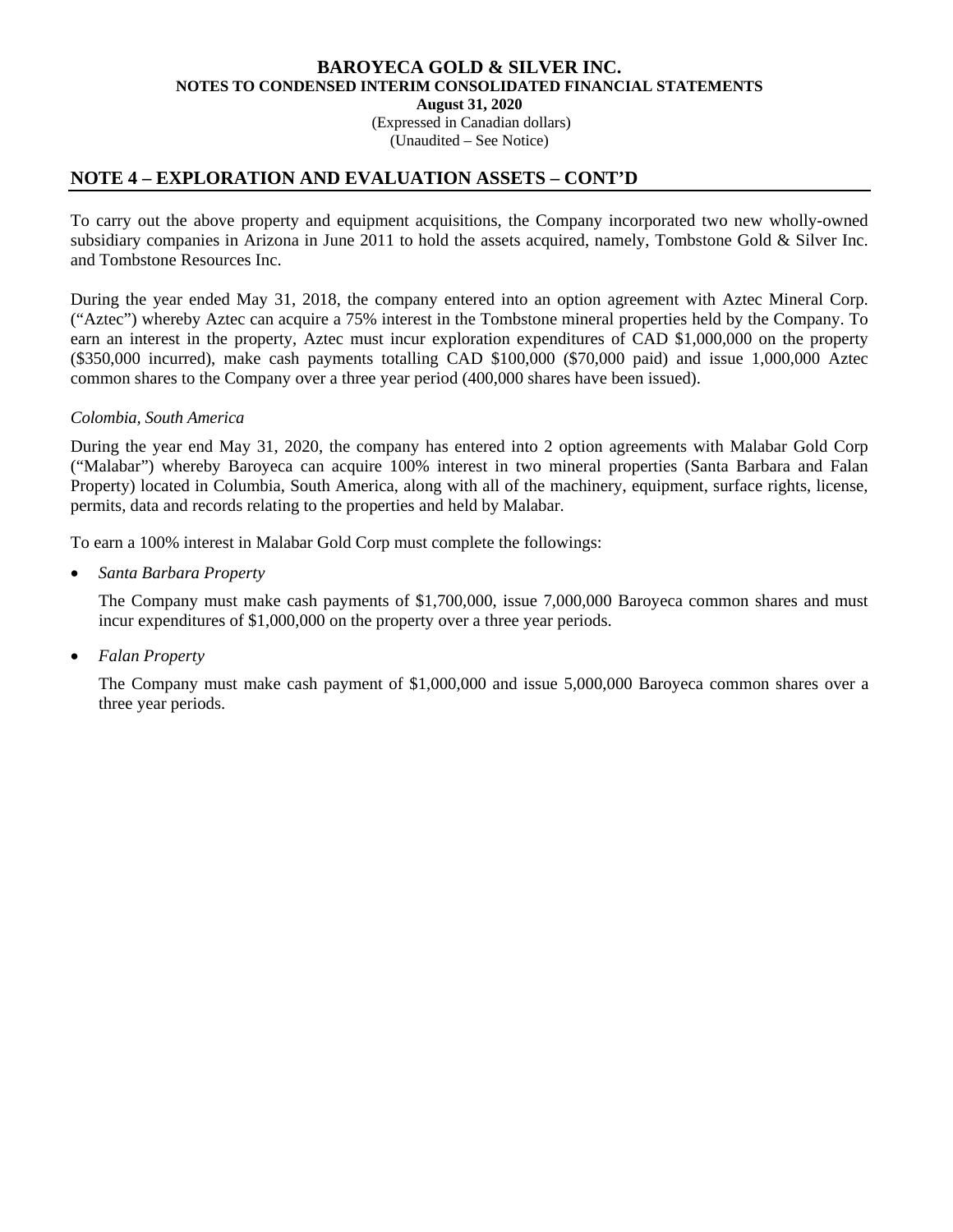(Expressed in Canadian dollars) (Unaudited – See Notice)

## **NOTE 4 – EXPLORATION AND EVALUATION ASSETS – CONT'D**

To carry out the above property and equipment acquisitions, the Company incorporated two new wholly-owned subsidiary companies in Arizona in June 2011 to hold the assets acquired, namely, Tombstone Gold & Silver Inc. and Tombstone Resources Inc.

During the year ended May 31, 2018, the company entered into an option agreement with Aztec Mineral Corp. ("Aztec") whereby Aztec can acquire a 75% interest in the Tombstone mineral properties held by the Company. To earn an interest in the property, Aztec must incur exploration expenditures of CAD \$1,000,000 on the property (\$350,000 incurred), make cash payments totalling CAD \$100,000 (\$70,000 paid) and issue 1,000,000 Aztec common shares to the Company over a three year period (400,000 shares have been issued).

#### *Colombia, South America*

During the year end May 31, 2020, the company has entered into 2 option agreements with Malabar Gold Corp ("Malabar") whereby Baroyeca can acquire 100% interest in two mineral properties (Santa Barbara and Falan Property) located in Columbia, South America, along with all of the machinery, equipment, surface rights, license, permits, data and records relating to the properties and held by Malabar.

To earn a 100% interest in Malabar Gold Corp must complete the followings:

• *Santa Barbara Property* 

The Company must make cash payments of \$1,700,000, issue 7,000,000 Baroyeca common shares and must incur expenditures of \$1,000,000 on the property over a three year periods.

• *Falan Property* 

The Company must make cash payment of \$1,000,000 and issue 5,000,000 Baroyeca common shares over a three year periods.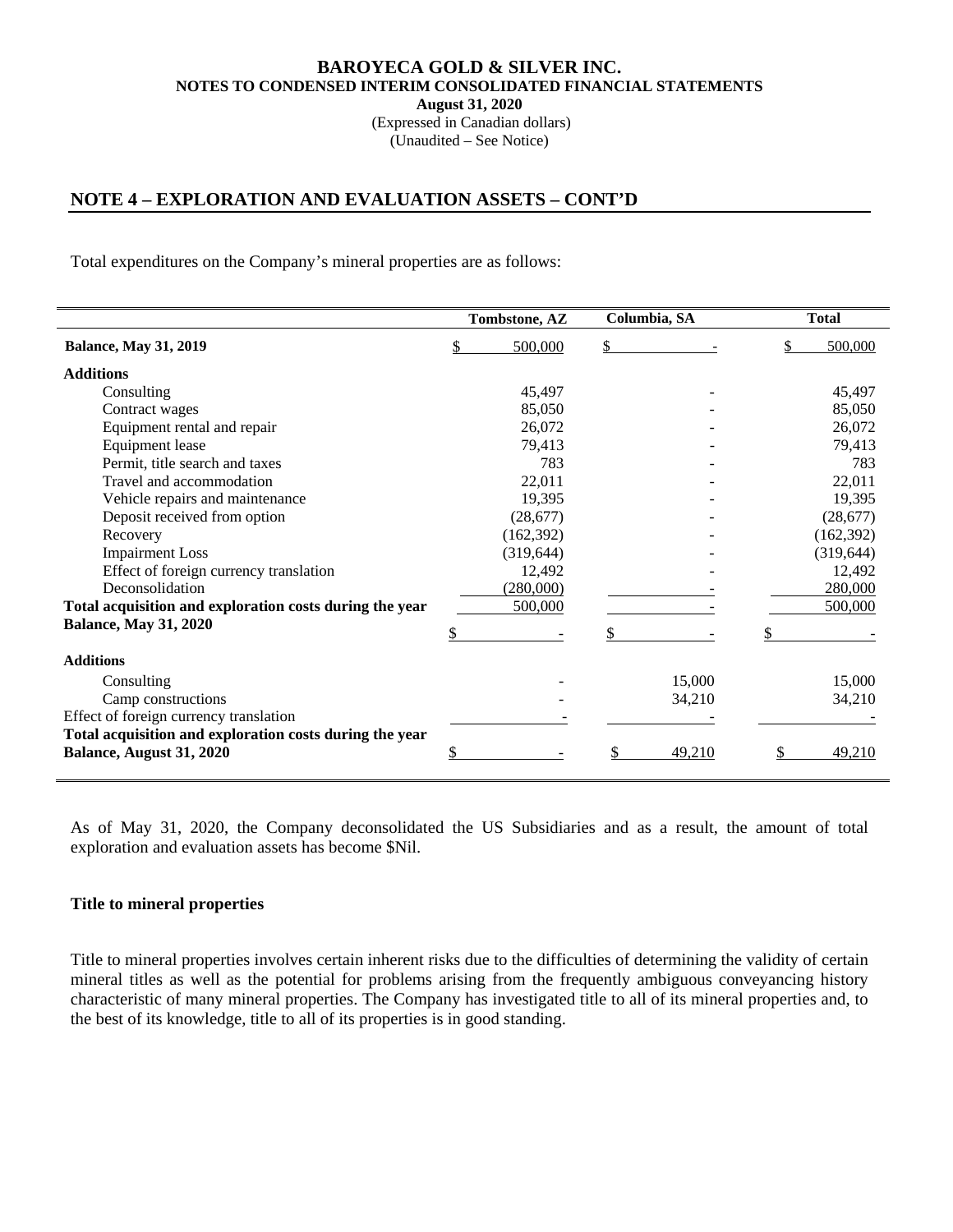(Expressed in Canadian dollars) (Unaudited – See Notice)

# **NOTE 4 – EXPLORATION AND EVALUATION ASSETS – CONT'D**

Total expenditures on the Company's mineral properties are as follows:

|                                                         | Tombstone, AZ | Columbia, SA | <b>Total</b> |
|---------------------------------------------------------|---------------|--------------|--------------|
| <b>Balance, May 31, 2019</b>                            | 500,000       | \$           | 500,000      |
| <b>Additions</b>                                        |               |              |              |
| Consulting                                              | 45,497        |              | 45,497       |
| Contract wages                                          | 85,050        |              | 85,050       |
| Equipment rental and repair                             | 26,072        |              | 26,072       |
| <b>Equipment</b> lease                                  | 79,413        |              | 79,413       |
| Permit, title search and taxes                          | 783           |              | 783          |
| Travel and accommodation                                | 22,011        |              | 22,011       |
| Vehicle repairs and maintenance                         | 19,395        |              | 19,395       |
| Deposit received from option                            | (28,677)      |              | (28, 677)    |
| Recovery                                                | (162, 392)    |              | (162, 392)   |
| <b>Impairment Loss</b>                                  | (319, 644)    |              | (319, 644)   |
| Effect of foreign currency translation                  | 12,492        |              | 12,492       |
| Deconsolidation                                         | (280,000)     |              | 280,000      |
| Total acquisition and exploration costs during the year | 500,000       |              | 500,000      |
| <b>Balance, May 31, 2020</b>                            |               |              |              |
| <b>Additions</b>                                        |               |              |              |
| Consulting                                              |               | 15,000       | 15,000       |
| Camp constructions                                      |               | 34,210       | 34,210       |
| Effect of foreign currency translation                  |               |              |              |
| Total acquisition and exploration costs during the year |               |              |              |
| Balance, August 31, 2020                                |               | 49,210       | 49,210       |

As of May 31, 2020, the Company deconsolidated the US Subsidiaries and as a result, the amount of total exploration and evaluation assets has become \$Nil.

#### **Title to mineral properties**

Title to mineral properties involves certain inherent risks due to the difficulties of determining the validity of certain mineral titles as well as the potential for problems arising from the frequently ambiguous conveyancing history characteristic of many mineral properties. The Company has investigated title to all of its mineral properties and, to the best of its knowledge, title to all of its properties is in good standing.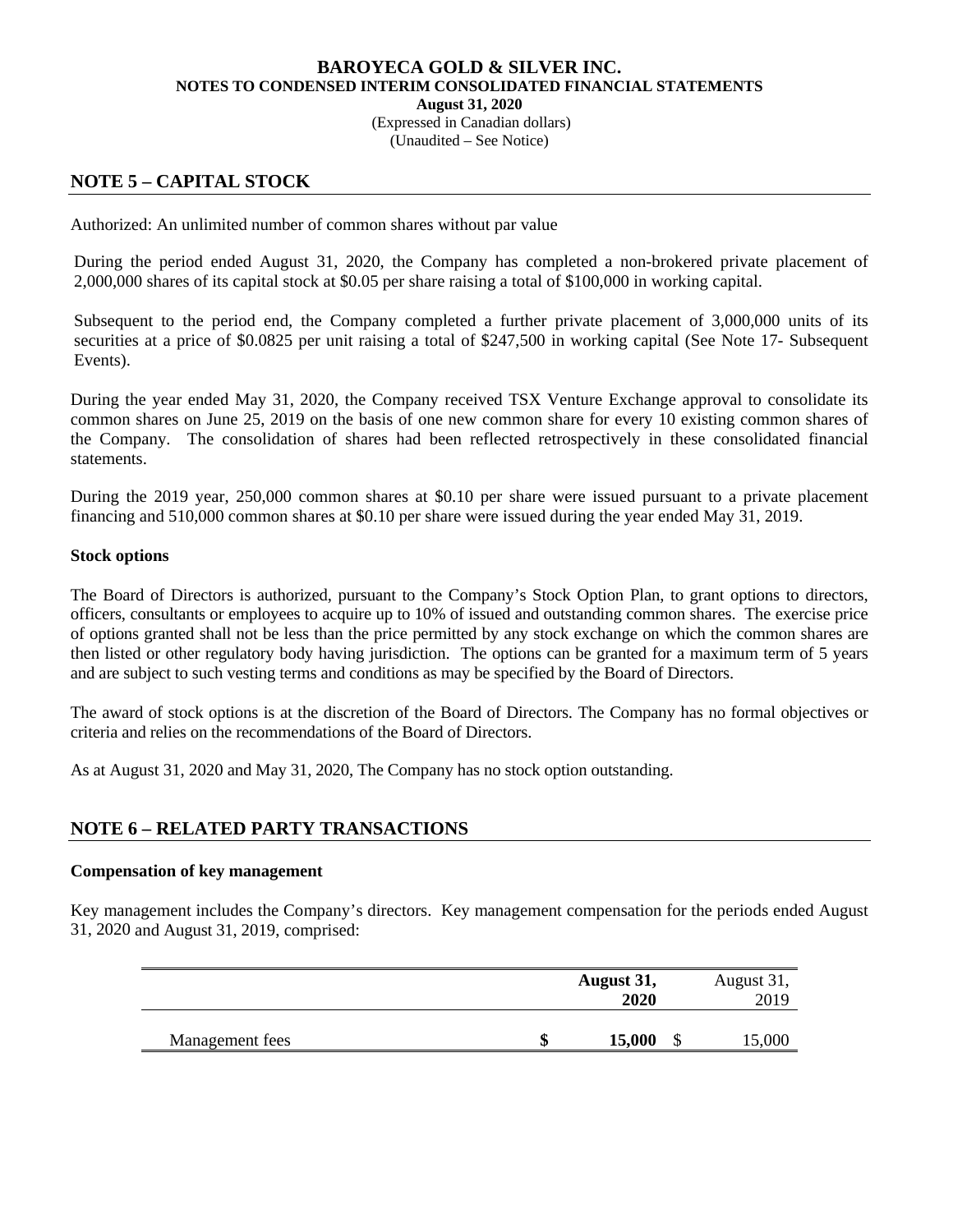(Expressed in Canadian dollars)

(Unaudited – See Notice)

# **NOTE 5 – CAPITAL STOCK**

Authorized: An unlimited number of common shares without par value

During the period ended August 31, 2020, the Company has completed a non-brokered private placement of 2,000,000 shares of its capital stock at \$0.05 per share raising a total of \$100,000 in working capital.

Subsequent to the period end, the Company completed a further private placement of 3,000,000 units of its securities at a price of \$0.0825 per unit raising a total of \$247,500 in working capital (See Note 17- Subsequent Events).

During the year ended May 31, 2020, the Company received TSX Venture Exchange approval to consolidate its common shares on June 25, 2019 on the basis of one new common share for every 10 existing common shares of the Company. The consolidation of shares had been reflected retrospectively in these consolidated financial statements.

During the 2019 year, 250,000 common shares at \$0.10 per share were issued pursuant to a private placement financing and 510,000 common shares at \$0.10 per share were issued during the year ended May 31, 2019.

## **Stock options**

The Board of Directors is authorized, pursuant to the Company's Stock Option Plan, to grant options to directors, officers, consultants or employees to acquire up to 10% of issued and outstanding common shares. The exercise price of options granted shall not be less than the price permitted by any stock exchange on which the common shares are then listed or other regulatory body having jurisdiction. The options can be granted for a maximum term of 5 years and are subject to such vesting terms and conditions as may be specified by the Board of Directors.

The award of stock options is at the discretion of the Board of Directors. The Company has no formal objectives or criteria and relies on the recommendations of the Board of Directors.

As at August 31, 2020 and May 31, 2020, The Company has no stock option outstanding.

# **NOTE 6 – RELATED PARTY TRANSACTIONS**

## **Compensation of key management**

Key management includes the Company's directors. Key management compensation for the periods ended August 31, 2020 and August 31, 2019, comprised:

|                 |    | August 31,<br>2020 |    | August 31,<br>2019 |
|-----------------|----|--------------------|----|--------------------|
| Management fees | ιD | 15,000             | ۰D | 15,000             |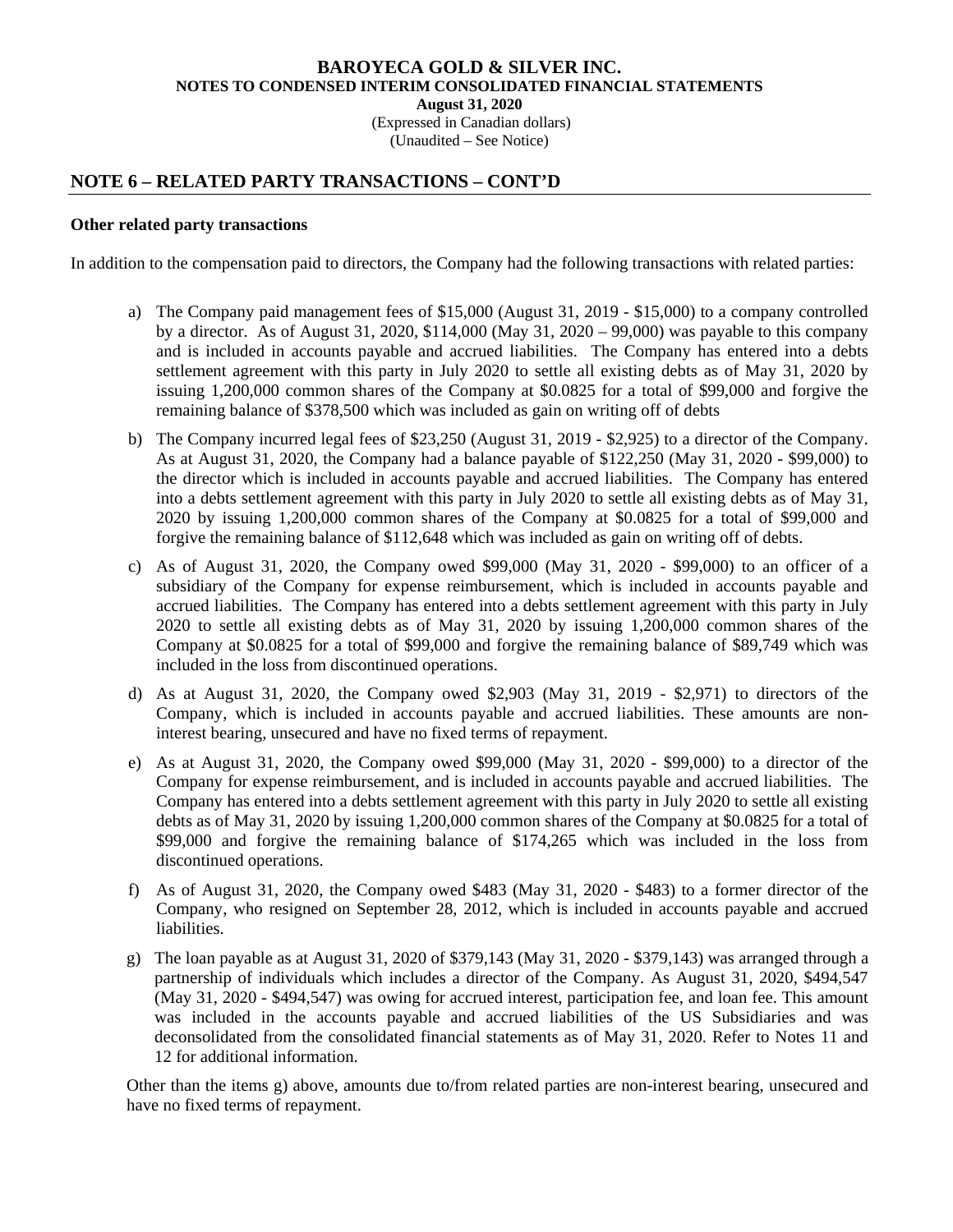(Expressed in Canadian dollars) (Unaudited – See Notice)

# **NOTE 6 – RELATED PARTY TRANSACTIONS – CONT'D**

#### **Other related party transactions**

In addition to the compensation paid to directors, the Company had the following transactions with related parties:

- a) The Company paid management fees of \$15,000 (August 31, 2019 \$15,000) to a company controlled by a director. As of August 31, 2020,  $$114,000$  (May 31, 2020 – 99,000) was payable to this company and is included in accounts payable and accrued liabilities. The Company has entered into a debts settlement agreement with this party in July 2020 to settle all existing debts as of May 31, 2020 by issuing 1,200,000 common shares of the Company at \$0.0825 for a total of \$99,000 and forgive the remaining balance of \$378,500 which was included as gain on writing off of debts
- b) The Company incurred legal fees of \$23,250 (August 31, 2019 \$2,925) to a director of the Company. As at August 31, 2020, the Company had a balance payable of \$122,250 (May 31, 2020 - \$99,000) to the director which is included in accounts payable and accrued liabilities. The Company has entered into a debts settlement agreement with this party in July 2020 to settle all existing debts as of May 31, 2020 by issuing 1,200,000 common shares of the Company at \$0.0825 for a total of \$99,000 and forgive the remaining balance of \$112,648 which was included as gain on writing off of debts.
- c) As of August 31, 2020, the Company owed \$99,000 (May 31, 2020 \$99,000) to an officer of a subsidiary of the Company for expense reimbursement, which is included in accounts payable and accrued liabilities. The Company has entered into a debts settlement agreement with this party in July 2020 to settle all existing debts as of May 31, 2020 by issuing 1,200,000 common shares of the Company at \$0.0825 for a total of \$99,000 and forgive the remaining balance of \$89,749 which was included in the loss from discontinued operations.
- d) As at August 31, 2020, the Company owed \$2,903 (May 31, 2019 \$2,971) to directors of the Company, which is included in accounts payable and accrued liabilities. These amounts are noninterest bearing, unsecured and have no fixed terms of repayment.
- e) As at August 31, 2020, the Company owed \$99,000 (May 31, 2020 \$99,000) to a director of the Company for expense reimbursement, and is included in accounts payable and accrued liabilities. The Company has entered into a debts settlement agreement with this party in July 2020 to settle all existing debts as of May 31, 2020 by issuing 1,200,000 common shares of the Company at \$0.0825 for a total of \$99,000 and forgive the remaining balance of \$174,265 which was included in the loss from discontinued operations.
- f) As of August 31, 2020, the Company owed \$483 (May 31, 2020 \$483) to a former director of the Company, who resigned on September 28, 2012, which is included in accounts payable and accrued liabilities.
- g) The loan payable as at August 31, 2020 of \$379,143 (May 31, 2020 \$379,143) was arranged through a partnership of individuals which includes a director of the Company. As August 31, 2020, \$494,547 (May 31, 2020 - \$494,547) was owing for accrued interest, participation fee, and loan fee. This amount was included in the accounts payable and accrued liabilities of the US Subsidiaries and was deconsolidated from the consolidated financial statements as of May 31, 2020. Refer to Notes 11 and 12 for additional information.

Other than the items g) above, amounts due to/from related parties are non-interest bearing, unsecured and have no fixed terms of repayment.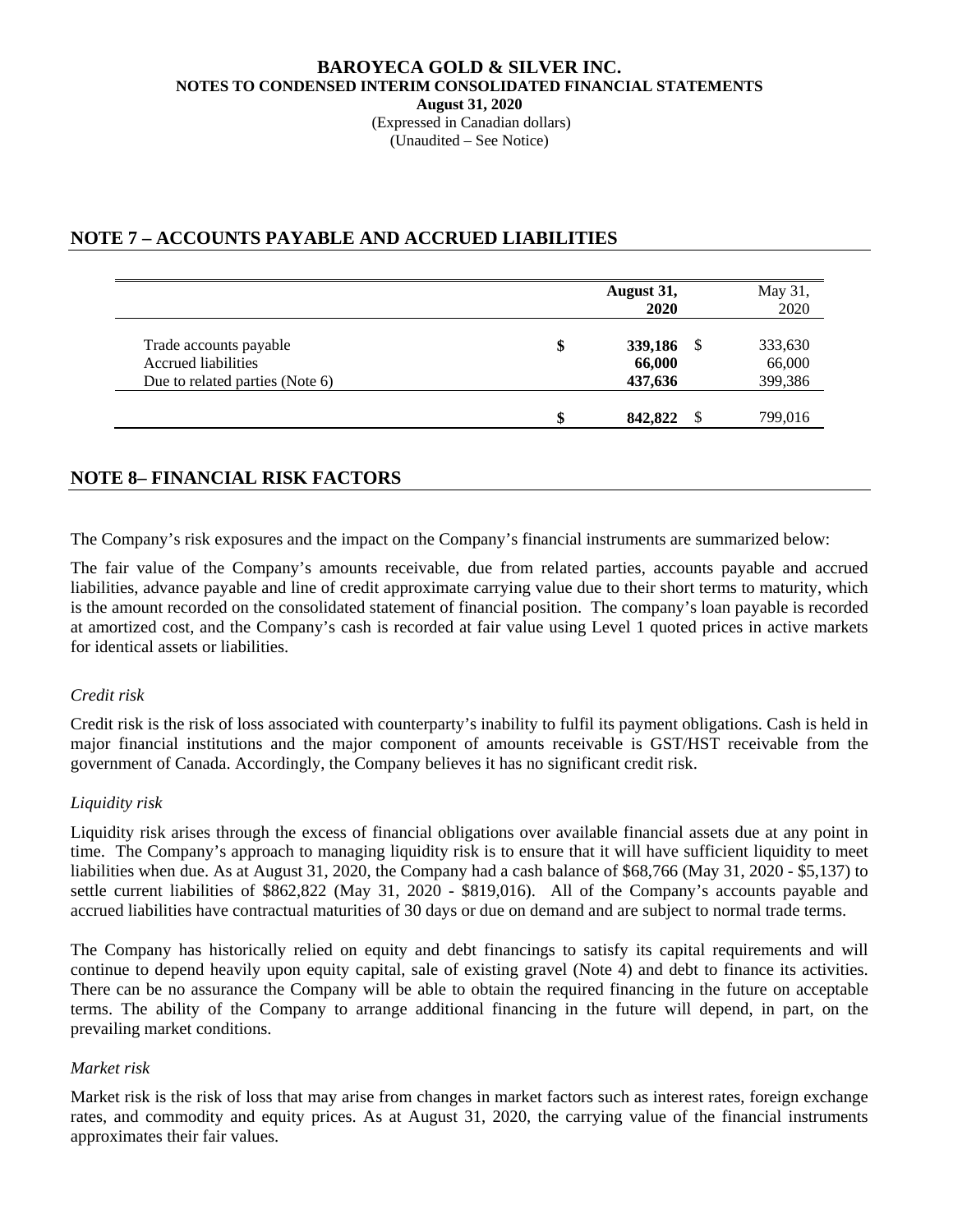#### **BAROYECA GOLD & SILVER INC. NOTES TO CONDENSED INTERIM CONSOLIDATED FINANCIAL STATEMENTS August 31, 2020**  (Expressed in Canadian dollars)

(Unaudited – See Notice)

# **NOTE 7 – ACCOUNTS PAYABLE AND ACCRUED LIABILITIES**

|                                 | August 31,<br>2020 | May 31,<br>2020 |
|---------------------------------|--------------------|-----------------|
| Trade accounts payable          | \$<br>339,186      | 333,630         |
| Accrued liabilities             | 66,000             | 66,000          |
| Due to related parties (Note 6) | 437,636            | 399,386         |
|                                 | \$<br>842,822      | 799,016         |

# **NOTE 8– FINANCIAL RISK FACTORS**

The Company's risk exposures and the impact on the Company's financial instruments are summarized below:

The fair value of the Company's amounts receivable, due from related parties, accounts payable and accrued liabilities, advance payable and line of credit approximate carrying value due to their short terms to maturity, which is the amount recorded on the consolidated statement of financial position. The company's loan payable is recorded at amortized cost, and the Company's cash is recorded at fair value using Level 1 quoted prices in active markets for identical assets or liabilities.

## *Credit risk*

Credit risk is the risk of loss associated with counterparty's inability to fulfil its payment obligations. Cash is held in major financial institutions and the major component of amounts receivable is GST/HST receivable from the government of Canada. Accordingly, the Company believes it has no significant credit risk.

## *Liquidity risk*

Liquidity risk arises through the excess of financial obligations over available financial assets due at any point in time. The Company's approach to managing liquidity risk is to ensure that it will have sufficient liquidity to meet liabilities when due. As at August 31, 2020, the Company had a cash balance of \$68,766 (May 31, 2020 - \$5,137) to settle current liabilities of \$862,822 (May 31, 2020 - \$819,016). All of the Company's accounts payable and accrued liabilities have contractual maturities of 30 days or due on demand and are subject to normal trade terms.

The Company has historically relied on equity and debt financings to satisfy its capital requirements and will continue to depend heavily upon equity capital, sale of existing gravel (Note 4) and debt to finance its activities. There can be no assurance the Company will be able to obtain the required financing in the future on acceptable terms. The ability of the Company to arrange additional financing in the future will depend, in part, on the prevailing market conditions.

## *Market risk*

Market risk is the risk of loss that may arise from changes in market factors such as interest rates, foreign exchange rates, and commodity and equity prices. As at August 31, 2020, the carrying value of the financial instruments approximates their fair values.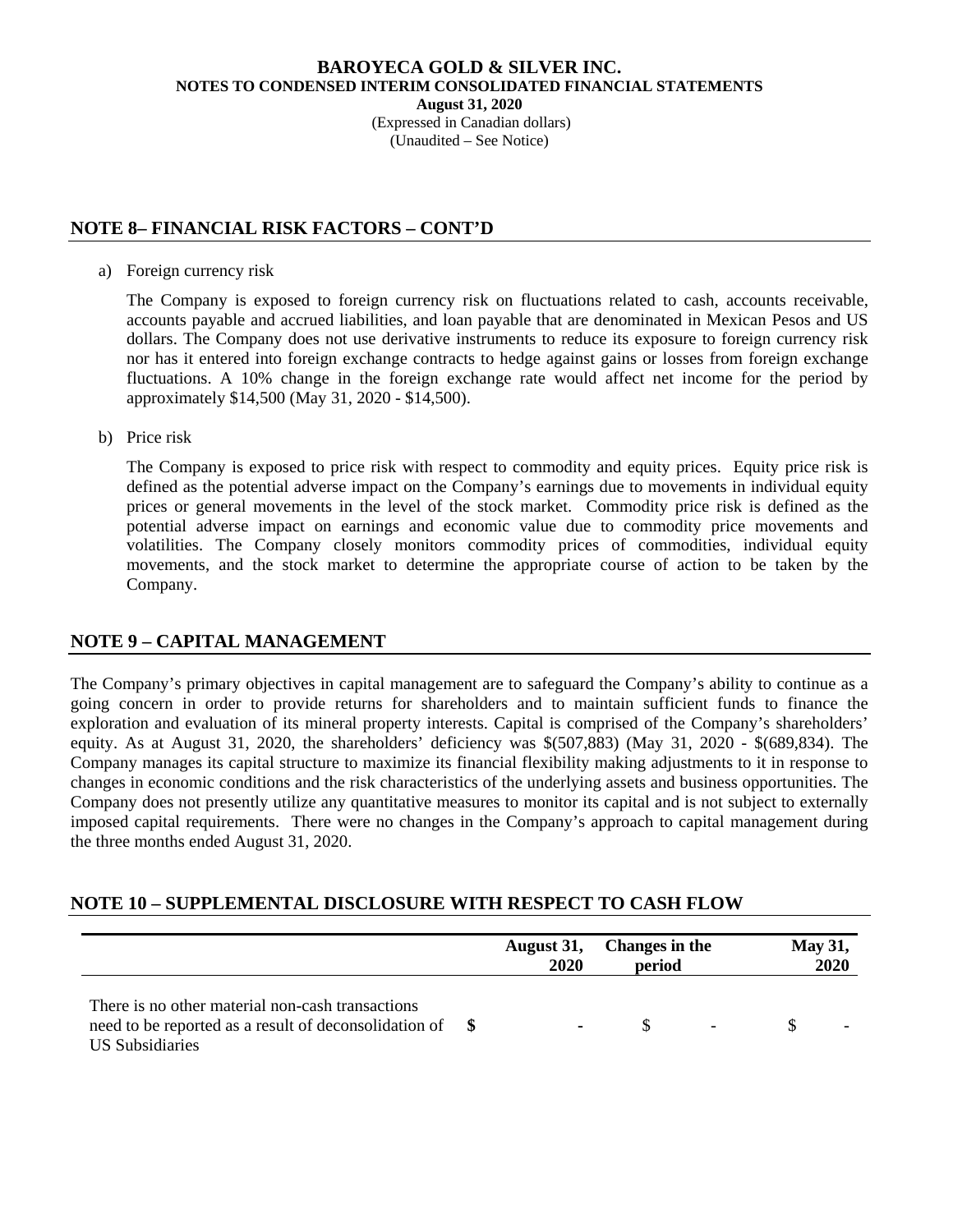#### **BAROYECA GOLD & SILVER INC. NOTES TO CONDENSED INTERIM CONSOLIDATED FINANCIAL STATEMENTS August 31, 2020**  (Expressed in Canadian dollars)

(Unaudited – See Notice)

# **NOTE 8– FINANCIAL RISK FACTORS – CONT'D**

a) Foreign currency risk

The Company is exposed to foreign currency risk on fluctuations related to cash, accounts receivable, accounts payable and accrued liabilities, and loan payable that are denominated in Mexican Pesos and US dollars. The Company does not use derivative instruments to reduce its exposure to foreign currency risk nor has it entered into foreign exchange contracts to hedge against gains or losses from foreign exchange fluctuations. A 10% change in the foreign exchange rate would affect net income for the period by approximately \$14,500 (May 31, 2020 - \$14,500).

b) Price risk

The Company is exposed to price risk with respect to commodity and equity prices. Equity price risk is defined as the potential adverse impact on the Company's earnings due to movements in individual equity prices or general movements in the level of the stock market. Commodity price risk is defined as the potential adverse impact on earnings and economic value due to commodity price movements and volatilities. The Company closely monitors commodity prices of commodities, individual equity movements, and the stock market to determine the appropriate course of action to be taken by the Company.

# **NOTE 9 – CAPITAL MANAGEMENT**

The Company's primary objectives in capital management are to safeguard the Company's ability to continue as a going concern in order to provide returns for shareholders and to maintain sufficient funds to finance the exploration and evaluation of its mineral property interests. Capital is comprised of the Company's shareholders' equity. As at August 31, 2020, the shareholders' deficiency was \$(507,883) (May 31, 2020 - \$(689,834). The Company manages its capital structure to maximize its financial flexibility making adjustments to it in response to changes in economic conditions and the risk characteristics of the underlying assets and business opportunities. The Company does not presently utilize any quantitative measures to monitor its capital and is not subject to externally imposed capital requirements. There were no changes in the Company's approach to capital management during the three months ended August 31, 2020.

# **NOTE 10 – SUPPLEMENTAL DISCLOSURE WITH RESPECT TO CASH FLOW**

|                                                                                                                                        | August 31,<br><b>2020</b> | Changes in the<br>period |  | <b>May 31,</b><br>2020 |
|----------------------------------------------------------------------------------------------------------------------------------------|---------------------------|--------------------------|--|------------------------|
| There is no other material non-cash transactions<br>need to be reported as a result of deconsolidation of \,<br><b>US</b> Subsidiaries |                           | SS.                      |  |                        |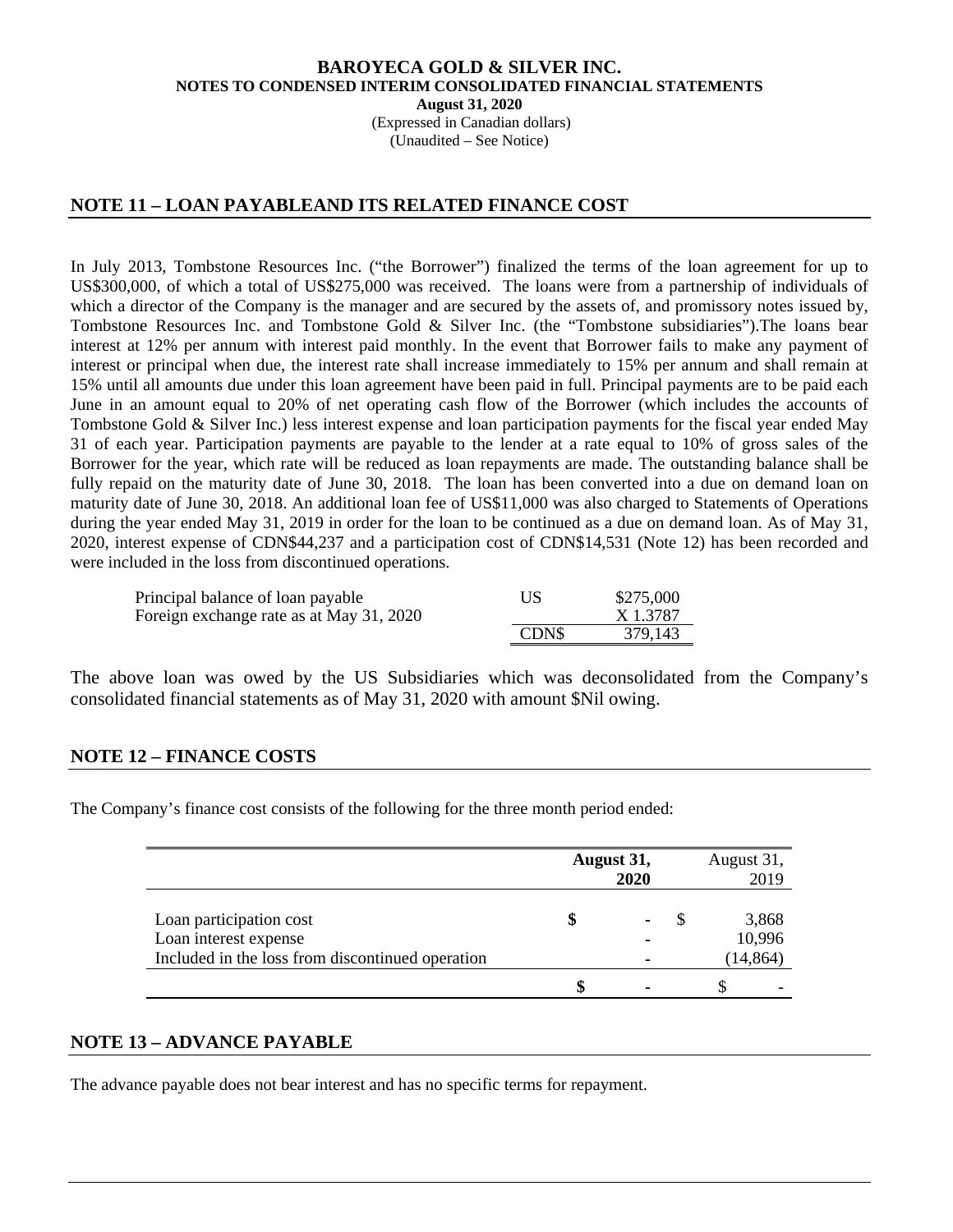(Expressed in Canadian dollars) (Unaudited – See Notice)

# **NOTE 11 – LOAN PAYABLEAND ITS RELATED FINANCE COST**

In July 2013, Tombstone Resources Inc. ("the Borrower") finalized the terms of the loan agreement for up to US\$300,000, of which a total of US\$275,000 was received. The loans were from a partnership of individuals of which a director of the Company is the manager and are secured by the assets of, and promissory notes issued by, Tombstone Resources Inc. and Tombstone Gold & Silver Inc. (the "Tombstone subsidiaries").The loans bear interest at 12% per annum with interest paid monthly. In the event that Borrower fails to make any payment of interest or principal when due, the interest rate shall increase immediately to 15% per annum and shall remain at 15% until all amounts due under this loan agreement have been paid in full. Principal payments are to be paid each June in an amount equal to 20% of net operating cash flow of the Borrower (which includes the accounts of Tombstone Gold & Silver Inc.) less interest expense and loan participation payments for the fiscal year ended May 31 of each year. Participation payments are payable to the lender at a rate equal to 10% of gross sales of the Borrower for the year, which rate will be reduced as loan repayments are made. The outstanding balance shall be fully repaid on the maturity date of June 30, 2018. The loan has been converted into a due on demand loan on maturity date of June 30, 2018. An additional loan fee of US\$11,000 was also charged to Statements of Operations during the year ended May 31, 2019 in order for the loan to be continued as a due on demand loan. As of May 31, 2020, interest expense of CDN\$44,237 and a participation cost of CDN\$14,531 (Note 12) has been recorded and were included in the loss from discontinued operations.

| Principal balance of loan payable        | US    | \$275,000 |
|------------------------------------------|-------|-----------|
| Foreign exchange rate as at May 31, 2020 |       | X 1.3787  |
|                                          | CDN\$ | 379.143   |

The above loan was owed by the US Subsidiaries which was deconsolidated from the Company's consolidated financial statements as of May 31, 2020 with amount \$Nil owing.

# **NOTE 12 – FINANCE COSTS**

The Company's finance cost consists of the following for the three month period ended:

|                                                                                                      | August 31, | 2020 | August 31, | 2019                         |
|------------------------------------------------------------------------------------------------------|------------|------|------------|------------------------------|
| Loan participation cost<br>Loan interest expense<br>Included in the loss from discontinued operation |            |      |            | 3,868<br>10,996<br>(14, 864) |
|                                                                                                      |            |      |            |                              |

## **NOTE 13 – ADVANCE PAYABLE**

The advance payable does not bear interest and has no specific terms for repayment.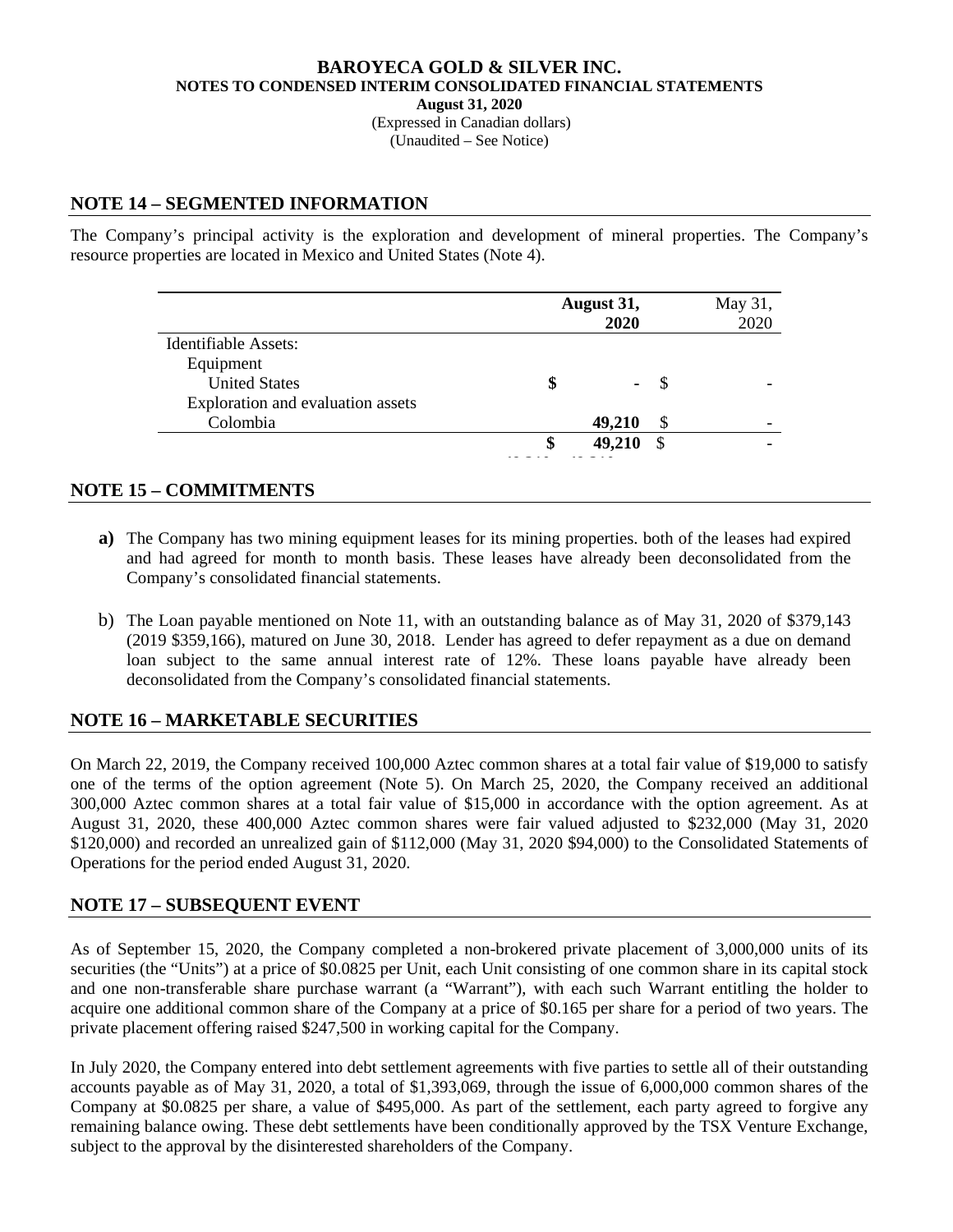(Expressed in Canadian dollars) (Unaudited – See Notice)

## **NOTE 14 – SEGMENTED INFORMATION**

The Company's principal activity is the exploration and development of mineral properties. The Company's resource properties are located in Mexico and United States (Note 4).

|                                   | August 31, | May 31, |    |      |
|-----------------------------------|------------|---------|----|------|
|                                   |            | 2020    |    | 2020 |
| Identifiable Assets:              |            |         |    |      |
| Equipment                         |            |         |    |      |
| <b>United States</b>              |            | ۰       | -8 |      |
| Exploration and evaluation assets |            |         |    |      |
| Colombia                          |            | 49,210  | \$ |      |
|                                   | S          | 49,210  | S  |      |
|                                   |            |         |    |      |

# **NOTE 15 – COMMITMENTS**

- **a)** The Company has two mining equipment leases for its mining properties. both of the leases had expired and had agreed for month to month basis. These leases have already been deconsolidated from the Company's consolidated financial statements.
- b) The Loan payable mentioned on Note 11, with an outstanding balance as of May 31, 2020 of \$379,143 (2019 \$359,166), matured on June 30, 2018. Lender has agreed to defer repayment as a due on demand loan subject to the same annual interest rate of 12%. These loans payable have already been deconsolidated from the Company's consolidated financial statements.

# **NOTE 16 – MARKETABLE SECURITIES**

On March 22, 2019, the Company received 100,000 Aztec common shares at a total fair value of \$19,000 to satisfy one of the terms of the option agreement (Note 5). On March 25, 2020, the Company received an additional 300,000 Aztec common shares at a total fair value of \$15,000 in accordance with the option agreement. As at August 31, 2020, these 400,000 Aztec common shares were fair valued adjusted to \$232,000 (May 31, 2020 \$120,000) and recorded an unrealized gain of \$112,000 (May 31, 2020 \$94,000) to the Consolidated Statements of Operations for the period ended August 31, 2020.

# **NOTE 17 – SUBSEQUENT EVENT**

As of September 15, 2020, the Company completed a non-brokered private placement of 3,000,000 units of its securities (the "Units") at a price of \$0.0825 per Unit, each Unit consisting of one common share in its capital stock and one non-transferable share purchase warrant (a "Warrant"), with each such Warrant entitling the holder to acquire one additional common share of the Company at a price of \$0.165 per share for a period of two years. The private placement offering raised \$247,500 in working capital for the Company.

In July 2020, the Company entered into debt settlement agreements with five parties to settle all of their outstanding accounts payable as of May 31, 2020, a total of \$1,393,069, through the issue of 6,000,000 common shares of the Company at \$0.0825 per share, a value of \$495,000. As part of the settlement, each party agreed to forgive any remaining balance owing. These debt settlements have been conditionally approved by the TSX Venture Exchange, subject to the approval by the disinterested shareholders of the Company.